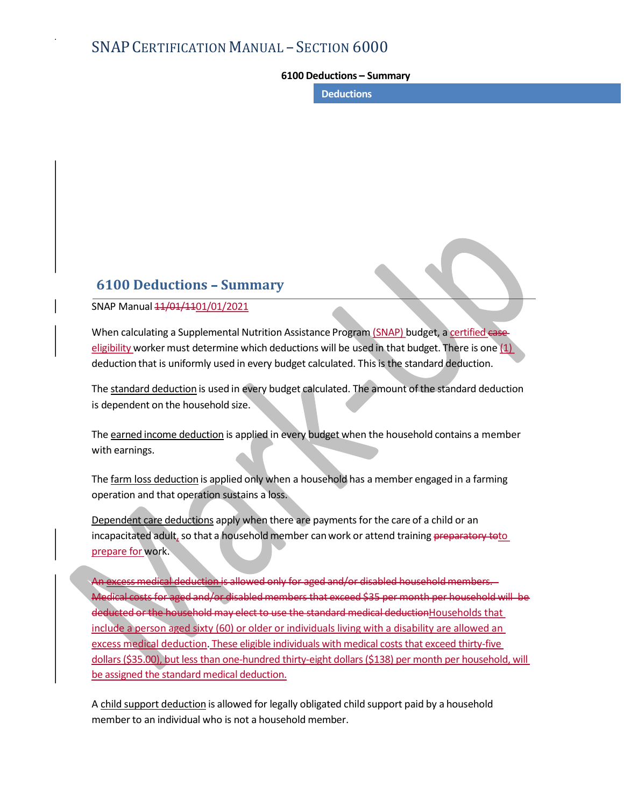# SNAP CERTIFICATION MANUAL - SECTION 6000 - SECTION 6000<br>6100 Deductions – Summary<br>Deductions

**Deductions** 

## 6100 Deductions - Summary

SNAP Manual  $11/01/1101/01/2021$ 

When calculating a Supplemental Nutrition Assistance Program (SNAP) budget, a certified case eligibility worker must determine which deductions will be used in that budget. There is one  $(1)$ deduction that is uniformly used in every budget calculated. This is the standard deduction.

The standard deduction is used in every budget calculated. The amount of the standard deduction is dependent on the household size.

The earned income deduction is applied in every budget when the household contains a member with earnings.

The farm loss deduction is applied only when a household has a member engaged in a farming operation and that operation sustains a loss.

Dependent care deductions apply when there are payments for the care of a child or an incapacitated adult, so that a household member can work or attend training preparatory toto prepare for work.

-allowed only for aged and/or disabled household membe eligibility worker must determine which deductions will be used in that budget. There is one [1]<br>deduction that is uniformly used in every budget calculated. This is the standard deduction.<br>The <u>standard deduction</u> is used deducted or the household may elect to use the standard medical deductionHouseholds that include a person aged sixty (60) or older or individuals living with a disability are allowed an excess medical deduction. These eligible individuals with medical costs that exceed thirty-five is dependent on the household size.<br>The <u>earned income deduction</u> is applied in every budget when the household contains a member<br>with earnings.<br>The <u>farm loss deduction</u> is applied only when a household has a member engag be assigned the standard medical deduction.

A child support deduction is allowed for legally obligated child support paid by a household member to an individual who is not a household member.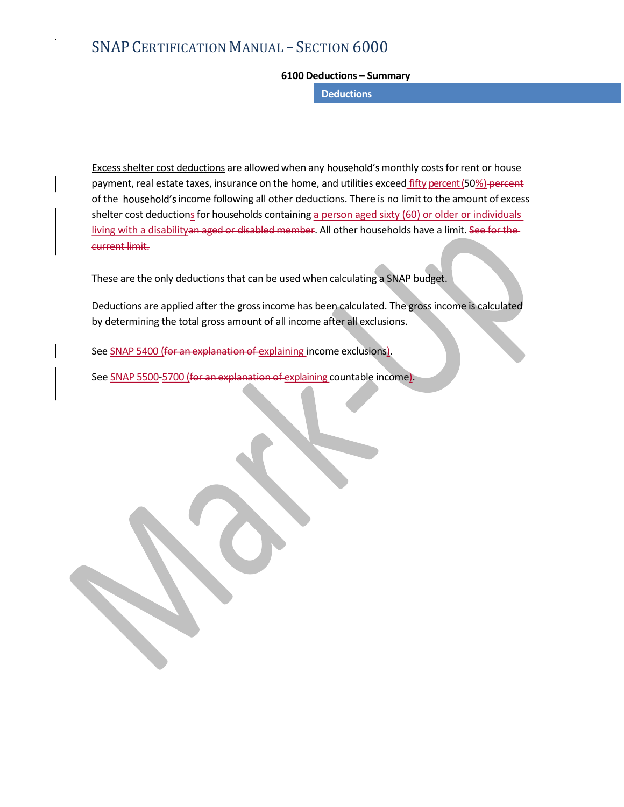# SNAP CERTIFICATION MANUAL - SECTION 6000 - SECTION 6000<br>6100 Deductions – Summary<br>Deductions

**Deductions** 

Excess shelter cost deductions are allowed when any household's monthly costs for rent or house payment, real estate taxes, insurance on the home, and utilities exceed fifty percent (50%) percent of the household's income following all other deductions. There is no limit to the amount of excess shelter cost deductions for households containing a person aged sixty (60) or older or individuals living with a disabilityan aged or disabled member. All other households have a limit. See for the current limit.

These are the only deductions that can be used when calculating a SNAP budget.

Deductions are applied after the gross income has been calculated. The gross income is calculated by determining the total gross amount of all income after all exclusions.

See SNAP 5400 (for an explanation of explaining income exclusions).<br>See SNAP 5500-5700 (for an explanation of explaining countable income).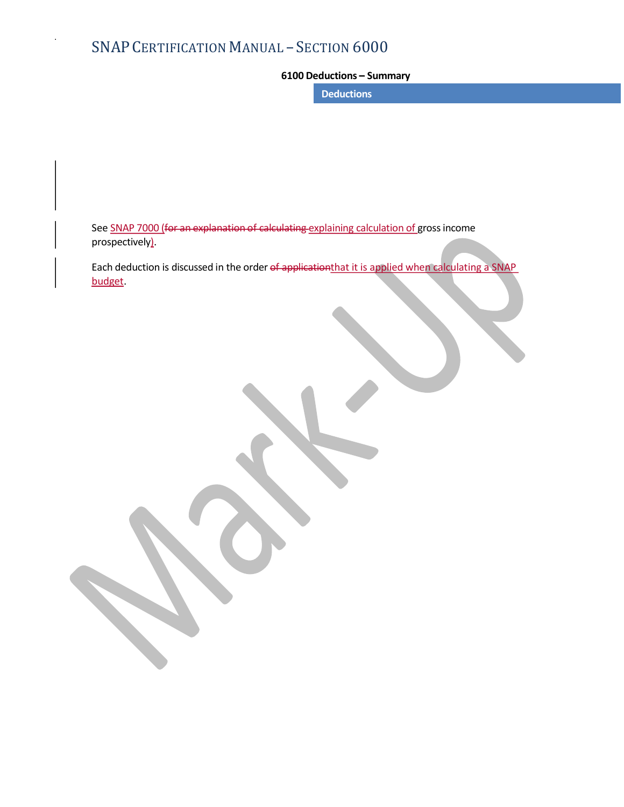# SNAP CERTIFICATION MANUAL - SECTION 6000 - SECTION 6000<br>6100 Deductions – Summary<br>Deductions

**Deductions** 

See SNAP 7000 (for an explanation of calculating explaining calculation of gross income prospectively).

Each deduction is discussed in the order of applicationthat it is applied when calculating a SNAP budget.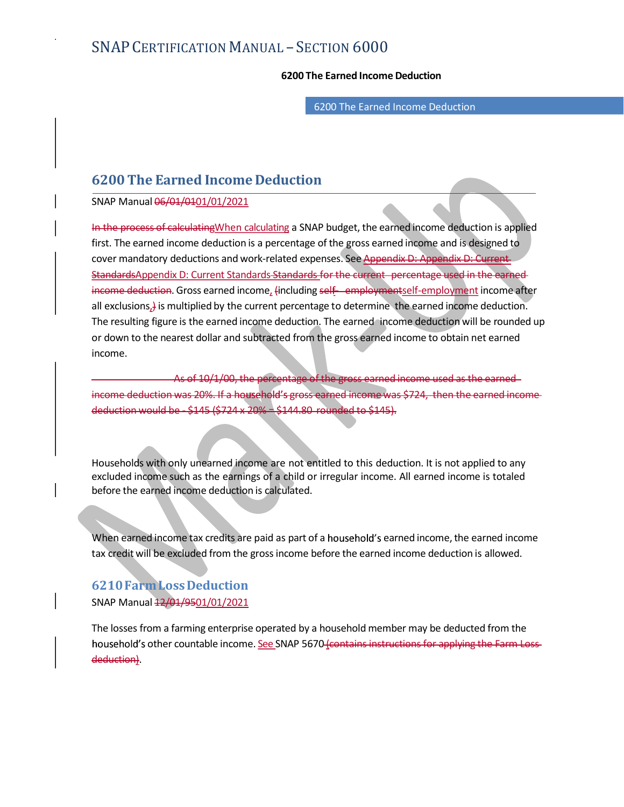# SNAP CERTIFICATION MANUAL - SECTION 6000 FRECTION 6000<br>6200 The Earned Income Deduction<br>6200 The Earned Income Deduction

6200 The Earned Income Deduction

## 6200 The Earned Income Deduction

SNAP Manual 06/01/0101/01/2021

In the process of calculating When calculating a SNAP budget, the earned income deduction is applied SNAP CERTIFICATION MANUAL – SECTION  $6000$ <br>  $6200$  The Earned Income Deduction<br>  $6200$  The Earned Income Deduction<br>
SNAP Manual 06/01/01/01/2021<br>
In the process of calculating when calculating a SNAP budget, the earned in cover mandatory deductions and work-related expenses. See Appendix D: Appendix D: Current StandardsAppendix D: Current Standards-Standards for the current - percentage used in the earned-SNAP CERTIFICATION MANUAL – SECTION  $6000$ <br>
6200 The Earned Income Deduction<br>
6200 The Earned Income Deduction<br>
SNAP Manual 06/04/0401/01/2021<br>
in the process of calculating When calculating a SNAP budget, the earned inco all exclusions, is multiplied by the current percentage to determine the earned income deduction. The resulting figure is the earned income deduction. The earned income deduction will be rounded up or down to the nearest dollar and subtracted from the gross earned income to obtain net earned income. 6200 The Earmed Income Deduction<br>
SNAP Manual 66/04/0401/01/2021<br>
In the process of calculating When calculating a SNAP budget, the earned income addiction is applied<br>
first. The earned income deduction is a percentage of In the process of calculating When calculating a SNAP budget, the earned income deduction is applied<br>
first. The earned income deduction is a percentage of the gross earned income are not is designed to<br>
cover mandatory de

 As of 10/1/00, the percentage of the gross earned income used as the earned deduction would be - \$145 (\$724 x 20% = \$144.80 rounded to \$145).

excluded income such as the earnings of a child or irregular income. All earned income is totaled before the earned income deduction is calculated.

When earned income tax credits are paid as part of a household's earned income, the earned income tax credit will be excluded from the gross income before the earned income deduction is allowed.

## 6210 Farm Loss Deduction SNAP Manual  $\frac{12}{01}\frac{9501}{01}/2021$

As of 10/1/00, the persontinge of the gross examed income wood as the examed-<br>income deduction word be \$145 (5724 x 200x - \$144.80 counded to \$145).<br>Households with only unrearned income are not entitled to this deduction. uction was 20%. If a household's gross-earned income was \$724, then the earned income<br>could be - \$145 (\$724 x 20% = \$144.80 -rounded to \$145).<br>With only unearned income are not entitled to this deduction. It is not applied deduction).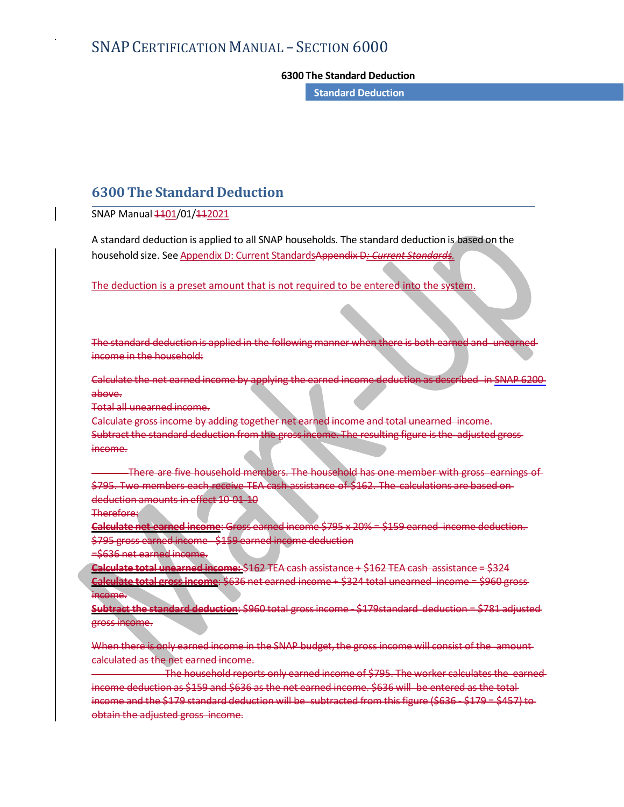# SNAP CERTIFICATION MANUAL - SECTION 6000 EXTION 6000<br>FORM THE STANDARD STANDARD STANDARD STANDARD STANDARD STANDARD STANDARD STANDARD STANDARD STANDARD STANDARD STANDARD STANDARD STANDARD STANDARD STANDARD STANDARD STANDARD STANDARD STANDARD STANDARD STANDARD STA

Standard Deduction

## 6300 The Standard Deduction

SNAP Manual 4401/01/442021

A standard deduction is applied to all SNAP households. The standard deduction is based on the household size. See Appendix D: Current StandardsAppendix D: Current Standards.

The deduction is a preset amount that is not required to be entered into the system.

The standard deduction is applied in the following manner when there is both earned income in the household:

above.

Total all unearned income.

6300 The Standard Deduction<br>
SNAP Manual 4401/01/442021<br>
A standard deduction is applied to all SNAP households. The standard deduction is based on the<br>
household size. See Appendix D: Current StandardsAppendix D: Current Calculate gross income by adding together net earned income and total unearned income. Subtract the standard deduction from the gross income. The resulting figure is the adjusted gross income.

There are five household members. The household has one member with gross earnings of \$795. Two members each receive TEA cash assistance of \$162. The calculations are based ondeduction amounts in effect 10-01-10

Therefore:

Calculate net earned income: Gross earned income \$795 x 20% = \$159 earned income deduction. \$795 gross earned income - \$159 earned income deduction

=\$636 net earned income.

Calculate total unearned income: \$162 TEA cash assistance + \$162 TEA cash assistance = \$324 Calculate total gross income: \$636 net earned income + \$324 total unearned income = \$960 gross **income.** 

Subtract the standard deduction: \$960 total gross income - \$179standard deduction = \$781 adjusted gross income.

When there is only earned income in the SNAP budget, the gross income will consist of the amount calculated as the net earned income.

Calculate gross-income. by adding together red carried income and total unearned income.<br>
Subtract the standard deduction from the gross-income. The reculting figure is the adjusted gross-<br>
income.<br>
There are five househol income deduction as \$159 and \$636 as the net earned income. \$636 will be entered as the totalincome.<br>
There are five household members. The household has one member with gross earnings of-<br>
5795. Two members each refere to TEA ash assistance of \$162. The calculations are based on-<br>
deduction amounts in effect 10 0 obtain the adjusted gross income.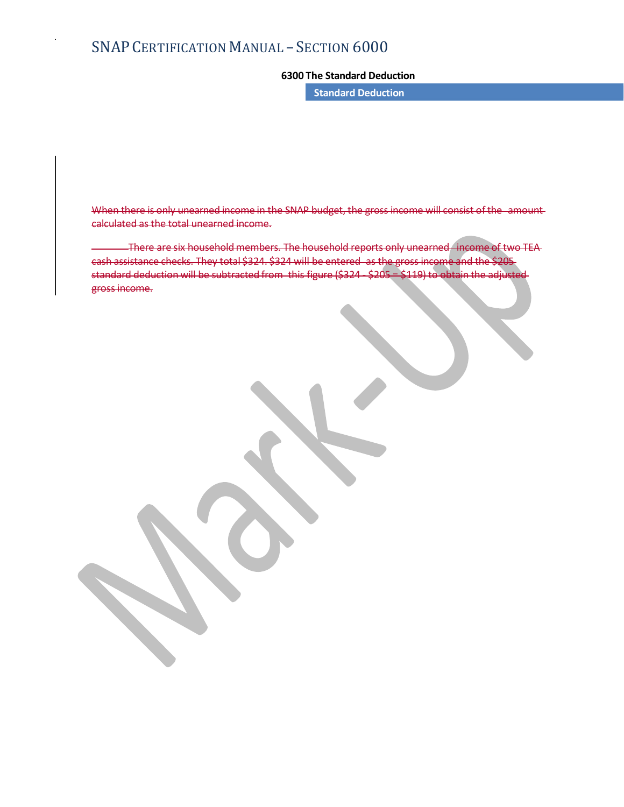# SNAP CERTIFICATION MANUAL - SECTION 6000 EXTION 6000<br>FORM THE STANDARD STANDARD STANDARD STANDARD STANDARD STANDARD STANDARD STANDARD STANDARD STANDARD STANDARD STANDARD STANDARD STANDARD STANDARD STANDARD STANDARD STANDARD STANDARD STANDARD STANDARD STANDARD STA

Standard Deduction

When there is only unearned income in the SNAP budget, the gross income will consist of the amount calculated as the total unearned income.

CERTIFICATION MANUAL – SECTION  $6000$ <br>  $6300$  The Standard Deduction<br>
Standard Deduction<br>  $\frac{1}{2}$ <br>
Household members. The household reports only unearned income<br>
There are six household members. The household reports on cash assistance checks. They total \$324. \$324 will be entered as the standard deduction will be subtracted from this figure (\$324 ss income.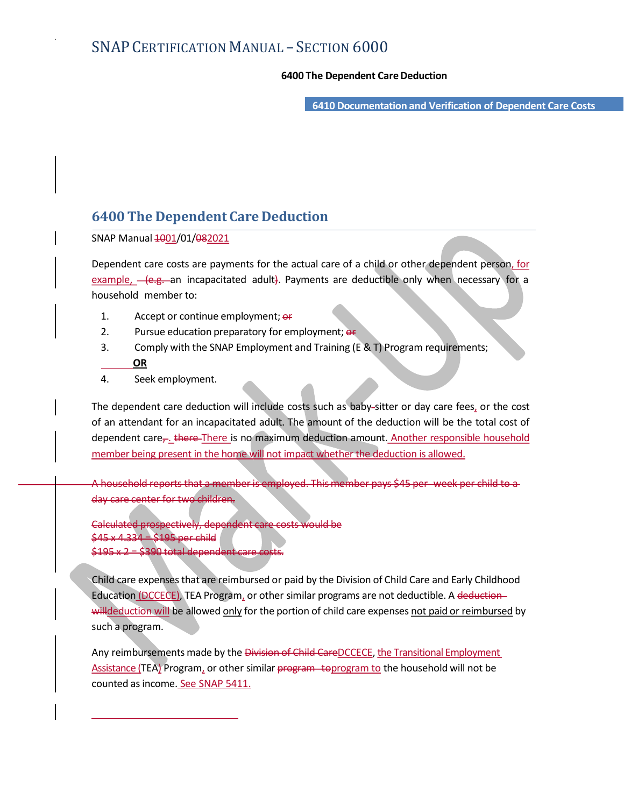- SECTION 6000<br>6400 The Dependent Care Deduction<br>6410 Documentation and Verification of Dependent Care Costs 6410 Documentation and Verification of Dependent Care Costs

# 6400 The Dependent Care Deduction

SNAP Manual  $\frac{1001}{01/\theta}$ 82021

Dependent care costs are payments for the actual care of a child or other dependent person, for **EXAMP CERTIFICATION MANUAL – SECTION 6000**<br> **E410 Documentation and Verification of Dependent Care Costs**<br> **E410 Documentation and Verification of Dependent Care Costs**<br> **E410 Documentation and Verification of Dependent** household member to:

- 1. Accept or continue employment;  $er$
- 2. Pursue education preparatory for employment; or
- 3. Comply with the SNAP Employment and Training (E & T) Program requirements; **OR OR OR**
- 4. Seek employment.

6400 The Dependent Care Deduction<br>
SNAP Manual 4001/01/082021<br>
Dependent care osts are payments for the actual care of a child or other dependent person, <u>for</u><br>
<u>example,</u>  $-$  (e.g. – an incapacitated adult). Payments are **6400 The Dependent Care Deduction**<br>
SNAP Manual 40<u>01/01/982021</u><br>
Dependent care costs are payments for the actual care of a child or other dependent person, for<br>  $\frac{\text{example}}{\text{choesbl}}$  ( $\frac{\text{de}}{\text{de}}$ , an incapacitated adult dependent care, there There is no maximum deduction amount. Another responsible household member being present in the home will not impact whether the deduction is allowed. **GR**<br>
The dependent care deduction will include costs such as baby-sitter or day care fees, or the cost<br>
of an attendant for an incapacitated adult. The amount of the deduction will be the total cost of<br>
dependent care<sub>ry</sub>

A household reports that a member is employed. This member pays \$45 per week per child to a day care center for two children.

Calculated prospectively, dependent care costs would be  $x 4,334 = $195$  per child  $$195 \times 2 = $390$  total dependent

Child care expenses that are reimbursed or paid by the Division of Child Care and Early Childhood Education (DCCECE), TEA Program, or other similar programs are not deductible. A deductionsuch a program.

Any reimbursements made by the Division of Child CareDCCECE, the Transitional Employment Assistance (TEA) Program, or other similar program to program to the household will not be counted as income. See SNAP 5411.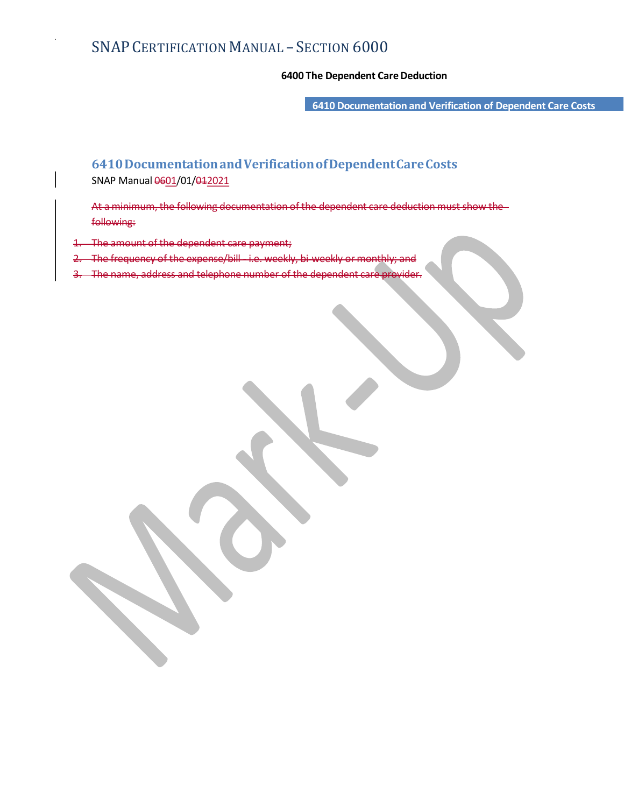- SECTION 6000<br>6400 The Dependent Care Deduction<br>6410 Documentation and Verification of Dependent Care Costs 6410 Documentation and Verification of Dependent Care Costs

# 6410 Documentation and Verification of Dependent Care Costs SNAP Manual 0601/01/042021

At a minimum, the following documentation of the dependent care deduction must show the following:

The amount of the dependent care

The frequency of the expense/bill - i.e.

The name, address and telephone number of the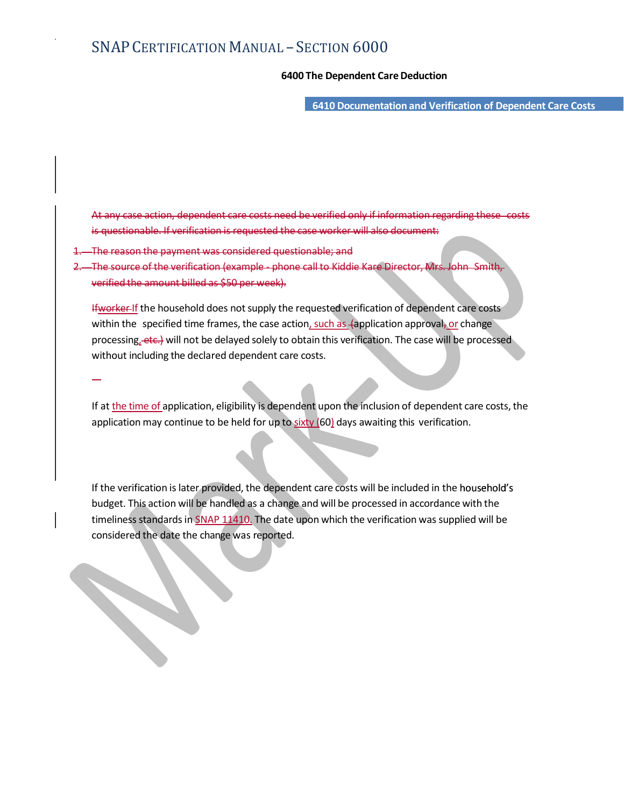- SECTION 6000<br>6400 The Dependent Care Deduction<br>6410 Documentation and Verification of Dependent Care Costs 6410 Documentation and Verification of Dependent Care Costs

costs need be verified only if information regarding case worker will also document:

- ment was considered questionable: and
- 2. The source of the verification (example phone call to Kiddie Kare Director, Mrs. John Smith, verified the amount billed as \$50 per week).

Ifworker If the household does not supply the requested verification of dependent care costs within the specified time frames, the case action, such as (application approval, or change processing, etc.) will not be delayed solely to obtain this verification. The case will be processed without including the declared dependent care costs.

If at the time of application, eligibility is dependent upon the inclusion of dependent care costs, the application may continue to be held for up to  $sixty$  (60) days awaiting this verification.

If the verification is later provided, the dependent care costs will be included in the household's budget. This action will be handled as a change and will be processed in accordance with the timeliness standards in SNAP 11410. The date upon which the verification was supplied will be considered the date the change was reported.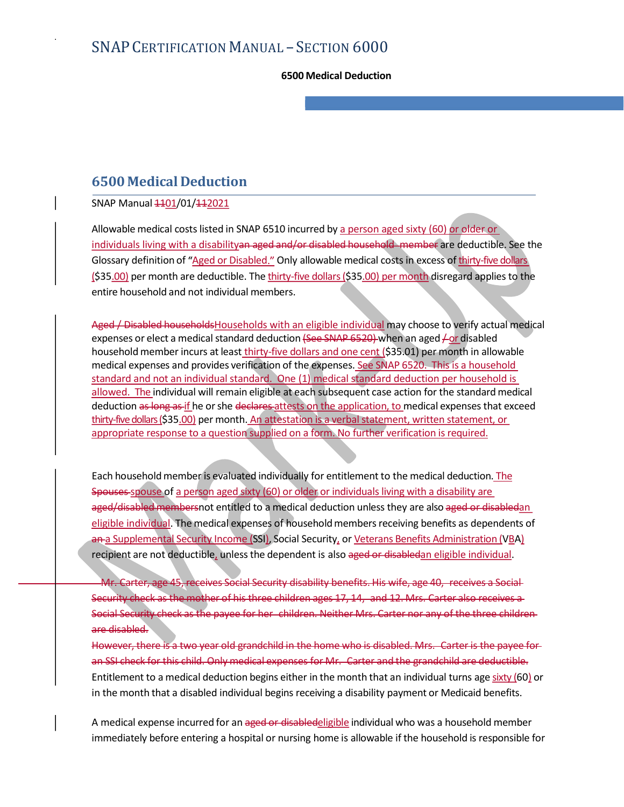# 6500 Medical Deduction

SNAP Manual  $1101/01/112021$ 

Allowable medical costs listed in SNAP 6510 incurred by a person aged sixty (60) or older or SNAP CERTIFICATION MANUAL – SECTION 6000<br>6500 Medical Deduction<br>SNAP Manual <del>11</del>01/01/142021<br>Allowable medical costs listed in SNAP 6510 incurred by <u>a person aged sixty (60) or older or</u><br>individuals living with a disabili Glossary definition of "Aged or Disabled." Only allowable medical costs in excess of thirty-five dollars  $\footnotesize{\textbf{S500}}$  Medical Deduction<br>  $\footnotesize{\textbf{5500}}$  Medical Deduction<br>  $\footnotesize{\textbf{SNAP}}$  Manual  $\footnotesize{+19\_101/4+2021}$ <br>
Allowable medical costs listed in SNAP 6510 incurred by <u>a person aged sixty (50) or ofder or</u><br>  $\footnotesize{\textbf{R$ entire household and not individual members.

6500 Medical Deduction<br>
SNAP Manual  $\pm 4\underline{01/01/442021}$ <br>
Allowable medical costs listed in SNAP 6510 incurred by <u>a person aged sixty (60) or older or</u><br>
Individuals living with a dissbility an eged and/or disabled hou expenses or elect a medical standard deduction (See SNAP 6520) when an aged  $\neq$  or disabled household member incurs at least thirty-five dollars and one cent (\$35.01) per month in allowable medical expenses and provides verification of the expenses. See SNAP 6520. This is a household  $6500$  Medical Deduction<br>SNAP Manual  $\frac{1401}{101412021}$ <br>Allowable medical costs listed in SNAP 6510 incurred by <u>a person aged sixty (60) or older or</u><br>individuals living with a disability an-aged and/or-disabled househo 6500 Medical Deduction<br>
SNAP Manual  $440\frac{1}{201442021}$ <br>
Allowable medical costs listed in SNAP 6510 incurred by <u>a person aged sixty (60) or ofder or-</u><br>
Individual siming with a disability-an-aged and/or-disable househo deduction as long as if he or she declares attests on the application, to medical expenses that exceed thirty-five dollars (\$35.00) per month. An attestation is a verbal statement, written statement, or appropriate response to a question supplied on a form. No further verification is required.

Each household member is evaluated individually for entitlement to the medical deduction. The Spouses spouse of a person aged sixty (60) or older or individuals living with a disability are aged/disabled membersnot entitled to a medical deduction unless they are also aged or disabledan eligible individual. The medical expenses of household members receiving benefits as dependents of an a Supplemental Security Income (SSI), Social Security, or Veterans Benefits Administration (VBA) recipient are not deductible, unless the dependent is also aged or disabledan eligible individual. allowed. The individual will remain eligible a teach subsequent case cation for the standard medical<br>electricity and electric schemes in the application, to medical expenses that exceed<br>thirty-five dollars (\$35.00) per mon Spouses spouse of a person aged sixty [60) or older or individuals living with a disability are<br>aged/disabled members ot entitled to a medical deduction unless they are also aged or disabled<br>an eightible individual. The me

45, receives Social Security disability benefits. His wife, age 40, receives a Social-Security check as the mother of his three children ages 17, 14, and 12. Mrs. Carter also receives a Social Security check as the payee for her children. Neither Mrs. Carter nor any of the three children are disabled.

an SSI check for this child. Only medical expenses for Mr. Carter and the grandchild are deductible. Entitlement to a medical deduction begins either in the month that an individual turns age sixty (60) or in the month that a disabled individual begins receiving a disability payment or Medicaid benefits.

A medical expense incurred for an aged or disabledeligible individual who was a household member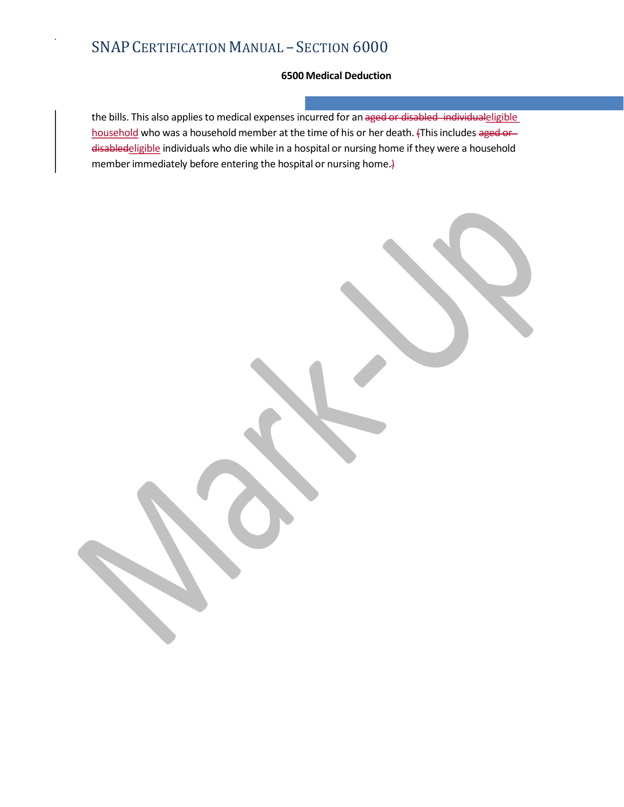- SECTION 6000<br>6500 Medical Deduction<br>ses incurred for an <del>aged or disabled individual</del><br>eligible<br>at the time of his or her death. {This includes <del>aged or</del><br>a hospital or nursing home if they were a household the bills. This also applies to medical expenses incurred for an aged or disabled individualeligible household who was a household member at the time of his or her death. (This includes aged ordisabledeligible individuals who die while in a hospital or nursing home if they were a household member immediately before entering the hospital or nursing home.}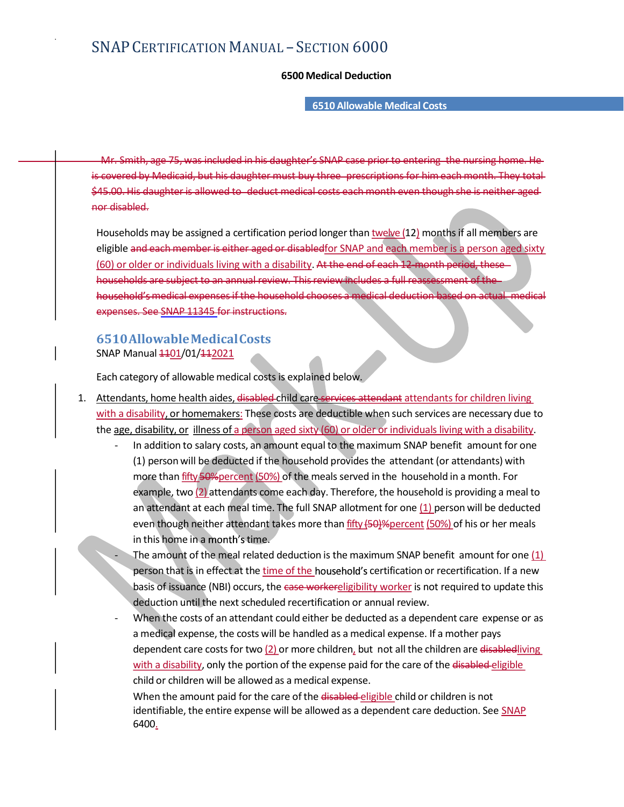# SNAP CERTIFICATION MANUAL - SECTION 6000 - SECTION 6000<br>6500 Medical Deduction<br>6510 Allowable Medical Costs

### 6510 Allowable Medical Costs

MAP CERTIFICATION MANUAL — SECTION 6000<br>6500 Medical Deduction<br>Mr. Smith, age 75, was included in his daughter's SNAP case prior to entering the nursing home. He-<br>covered by Medicaid, but his daughter must buy three-prescr  $SNAP CERTIFICATION MANUAL - SECTION 6000$ <br>  $6500 Medical Deduction$ <br>  $6510 Allovable Medical Costs$ <br>  $Mr. Smith, age-75, was included in his daughter's SAMP case prior to entering the nursing home. He-  
is covered by Medical, but his daughter must buy three-preccriptions for him each month. They total-  
4545.00-14 is daughter is allowed to -deduct medical cost each month even though she is neither-aged-  
nor disabel. However, the largest number of isolated in the original method is many be assigned a certification period longer than twelve (12) months if all members are  
elisible. However, the number is a person aged sixth$  $SNAP CERTIFICATION MANUAL - SECTION 6000$ <br>  $6510$  Allowable Medical Costs<br>  $Mr$ -Smith, age 75, was included in his daughter's SNAP case prior to entering the nursing home. He<br>
is covered by Medicaid, but his daughter must buy three prescripti nor disabled.

SNAP CERTIFICATION MANUAL – SECTION  $6000$ <br>  $6510$  Allowable Medical Costs<br>  $M_f$ -Smith, age 75, was included in his daughter's SNAP case prior to entering the nursing home. He<br>
towered by Medicaid, but his daughter must b eligible and each member is either aged or disabled for SNAP and each member is a person aged sixty (60) or older or individuals living with a disability. At the end of each 12-month period, thesehouseholds are subject to an annual review. This review includes a full reassessment of the RTIFICATION MANUAL – SECTION 6000<br>6500 Medical Deduction<br>6510 Allowable Medical Costs<br>age 75, was included in his daughter's SNAP case prior to entering the nursing home. He<br>Medical but his daughter must buy three-prescrip expenses. See SNAP 11345 for instructions. Wri-Smith, age-75, was included in his daughter's SNAP case prior to entering the nursing home. Here the Wedelside, but his daughter must buy three pecceptions for him each month. They tradedoes the Medicine buy to a signe 00-His daughter is allowed to -deduct medical-costs each month even though she is neither aged<br>triabled.<br>Sabel of an addition to provide the maximum strell amount of the maximum SNAP and each member is a person aged sixty

## 6510 Allowable Medical Costs SNAP Manual  $1101/01/112021$

Each category of allowable medical costs is explained below.

- 1. Attendants, home health aides, disabled child care services attendant attendants for children living the age, disability, or illness of a person aged sixty (60) or older or individuals living with a disability.
- (1) person will be deducted if the household provides the attendant (or attendants) with more than fifty 50% percent (50%) of the meals served in the household in a month. For example, two (2) attendants come each day. Therefore, the household is providing a mean of the mean of the mean of the second of the second of the second of the second of the second of the second of the second of the house an attendant at each meal time. The full SNAP allotment for one (1) person will be deducted even though neither attendant takes more than fifty (50)% percent (50%) of his or her meals **in this home in a time. The amount of the meal related deduction** is the maximum SNAP benefit amount of the meal related of the meal related of the meal related and related  $\alpha$  is a dissibility, or intermedies in These **holder of the certification** and the time in effect at the time of the certification or rental and the certification or relationships of a new other than the time of the certification or the certification or the certific **hasis of issuance (NBI)** occurs, the case workereligibility worker is not religiblity, the case worker of informal and the case worker of informal and distinguity or <u>incredients</u>. These costs are detailed to indistingui is category of allowable medical costs is explained below.<br>
Indistry, or homemakers: These costs are deductible when such services are necessary due to<br>
a id disability, or thoremakers: These costs are deductible when suc

a medical expense, the costs will be handled as a medical expense. If a mother pays dependent care costs for two (2) or more children, but not all the children are disabled living with a disability, only the portion of the expense paid for the care of the disabled eligible child or children will be allowed as a medical expense.

When the amount paid for the care of the disabled-eligible child or children is not identifiable, the entire expense will be allowed as a dependent care deduction. See SNAP 6400.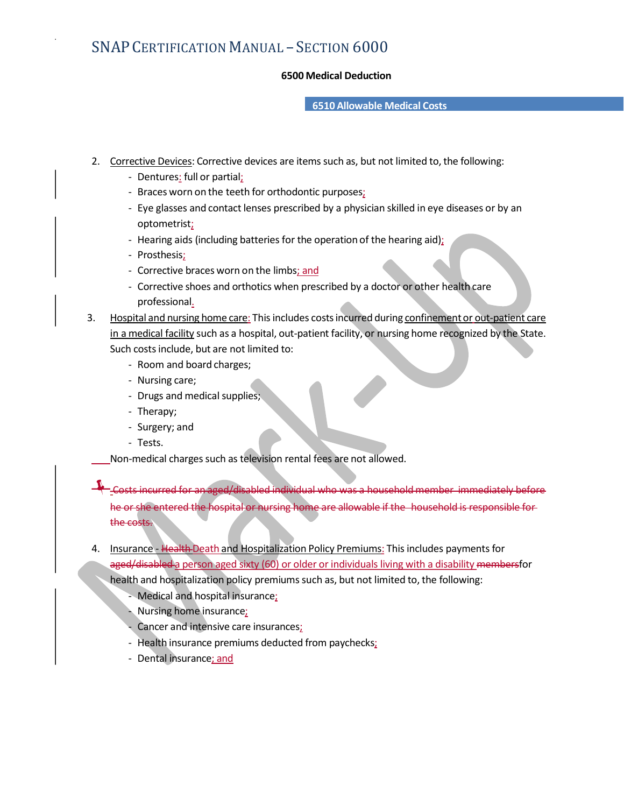# SNAP CERTIFICATION MANUAL - SECTION 6000 - SECTION 6000<br>6500 Medical Deduction<br>6510 Allowable Medical Costs

### 6510 Allowable Medical Costs

- 2. Corrective Devices: Corrective devices are items such as, but not limited to, the following:
	- Dentures: full or partial;
	- Braces worn on the teeth for orthodontic purposes;
- **CERTIFICATION MANUAL SECTION 6000**<br> **6500 Medical Deduction**<br> **6510 Allowable Medical Costs**<br>
<u>ective Devices</u>: Corrective devices are items such as, but not limited to, the following:<br> **Following**:<br> **Following:**<br> **Fol** optometrist;
	- Hearing aids (including batteries for the operation of the hearing aid);
	- Prosthesis;
	- Corrective braces worn on the limbs; and
	- Corrective shoes and orthotics when prescribed by a doctor or other health care professional.
- 3. Hospital and nursing home care: This includes costs incurred during confinement or out-patient care in a medical facility such as a hospital, out-patient facility, or nursing home recognized by the State. Such costs include, but are not limited to:<br>- Room and board charges;<br>- Nursing care;<br>- Drugs and medical supplies;<br>- Therapy;<br>- Surgery; and<br>- Tests.
	-
	-
	-
	-
	-
	-

Non-medical charges such as television rental fees are not allowed.

Costs incurred for an aged/disabled individual who was a household member immediately before Prosthesis:<br>
Corrective sheets and orthotics when prescribed by a doctor or other health care<br>
professional.<br>
Hospital and mursing home care: This includes costs incurred during <u>confinement or out-patient care</u><br>
Hospital the costs.

- 4. Insurance Health Death and Hospitalization Policy Premiums: This includes payments for aged/disabled a person aged sixty (60) or older or individuals living with a disability membersfor health and hospitalization policy premiums such as, but not limited to, the following:<br>- Medical and hospital insurance;
	-
	- Nursing home insurance;
	- Cancer and intensive care insurances;
	- Health insurance premiums deducted from paychecks;
	- Dental insurance; and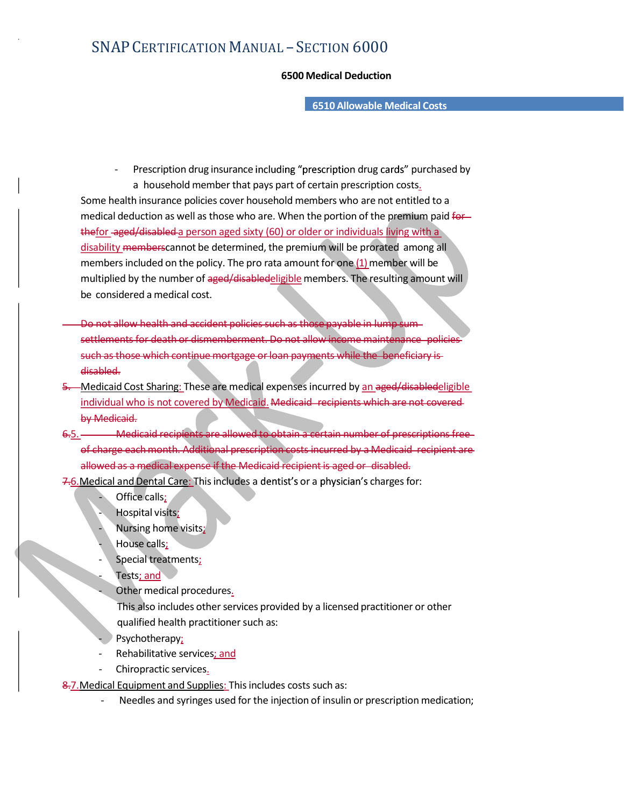# SNAP CERTIFICATION MANUAL - SECTION 6000 - SECTION 6000<br>6500 Medical Deduction<br>6510 Allowable Medical Costs

6510 Allowable Medical Costs

- Prescription drug insurance including "prescription drug cards" purchased by a household member that pays part of certain prescription costs. Some health insurance policies cover household members who are not entitled to a medical deduction as well as those who are. When the portion of the premium paid forthefor aged/disabled a person aged sixty (60) or older or individuals living with a disability memberscannot be determined, the premium will be prorated among all members included on the policy. The pro rata amount for one (1) member will be multiplied by the number of aged/disabledeligible members. The resulting amount will be considered a medical cost.
- Do not allow health and accident policies such as settlements for death or dismemberment. Do such as those which continue mortgage or loan payme disabled.
- 5. Medicaid Cost Sharing: These are medical expenses incurred by an aged/disabledeligible individual who is not covered by Medicaid. Medicaid recipients which are not covered by Medicaid.
- 6.5. Medicaid recipients are allowed to obtain a certain number of prescriptions free of charge each month. Additional prescription costs incurred by a Medicaid recipient are allowed as a medical expense if the Medicaid recipient is aged or disabled.
- 7.6. Medical and Dental Care: This includes a dentist's or a physician's charges for:<br>Office calls;<br>Office calls;
	-
	- Hospital visits;
	- Nursing home visits;
	- House calls;
	- Special treatments;
	- Tests; and
	- Other medical procedures.
		- This also includes other services provided by a licensed practitioner or other qualified health practitioner such as:<br>Psychotherapy;
	-
	- Rehabilitative services; and
	- Chiropractic services.

8.7. Medical Equipment and Supplies: This includes costs such as:<br>- Needles and syringes used for the injection of insulin or prescription medication;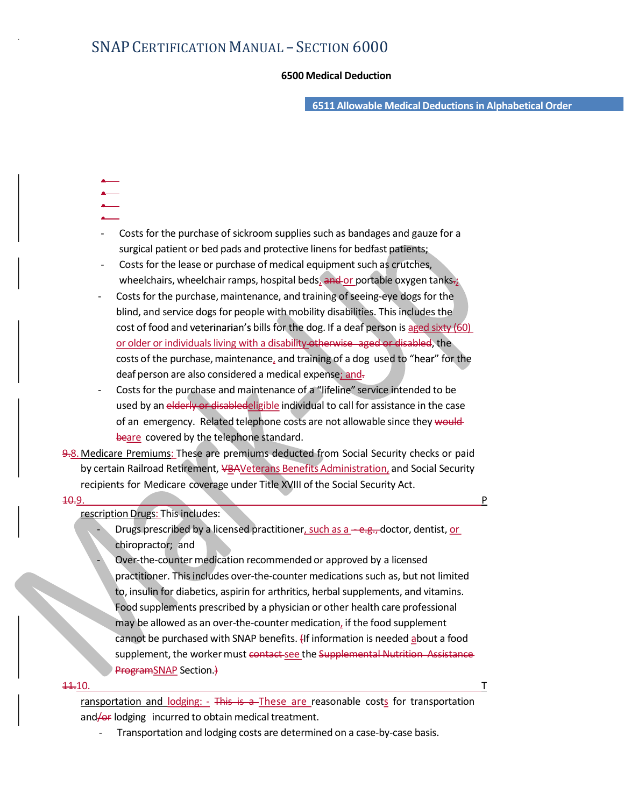- SECTION 6000<br>6500 Medical Deduction<br>6511 Allowable Medical Deductions in Alphabetical Order 6511 Allowable Medical Deductions in Alphabetical Order

- 
- 
- 
- Costs for the purchase of sickroom supplies such as bandages and gauze for a
- surgical patient or bed pads and protective linens for bedfast patients;<br>Costs for the lease or purchase of medical equipment such as crutches, wheelchairs, wheelchair ramps, hospital beds, and or portable oxygen tanks.;
- Costs for the purchase, maintenance, and training of seeing-eye dogs for the blind, and service dogs for people with mobility disabilities. This includes the cost of food and veterinarian's bills for the dog. If a deaf person is aged sixty  $(60)$ or older or individuals living with a disability-otherwise aged or disabled, the costs of the purchase, maintenance, and training of a dog used to "hear" for the deaf person are also considered a medical expense; and-
- Costs for the purchase and maintenance of a "lifeline" service intended to be used by an elderly or disabledeligible individual to call for assistance in the case of an emergency. Related telephone costs are not allowable since they wouldbeare covered by the telephone standard.
- 9.8. Medicare Premiums: These are premiums deducted from Social Security checks or paid by certain Railroad Retirement, VBAVeterans Benefits Administration, and Social Security recipients for Medicare coverage under Title XVIII of the Social Security Act.

## <u>10.9. Property in the contract of the contract of the contract of the contract of the contract of the contract of the contract of the contract of the contract of the contract of the contract of the contract of the contrac</u>

rescription Drugs: This includes:<br>- Drugs prescribed by a licensed practitioner, such as a <del>- e.g., </del>doctor, dentist, or chiropractor; and - Over-the-counter medication recommended or approved by a licensed

practitioner. This includes over-the-counter medications such as, but not limited to, insulin for diabetics, aspirin for arthritics, herbal supplements, and vitamins. Food supplements prescribed by a physician or other health care professional may be allowed as an over-the-counter medication, if the food supplement cannot be purchased with SNAP benefits. (If information is needed about a food supplement, the worker must contact see the Supplemental Nutrition Assistance ProgramSNAP Section.)

## 11.10. T

ransportation and lodging:  $-$  This is a These are reasonable costs for transportation and/or lodging incurred to obtain medical treatment.<br>- Transportation and lodging costs are determined on a case-by-case basis.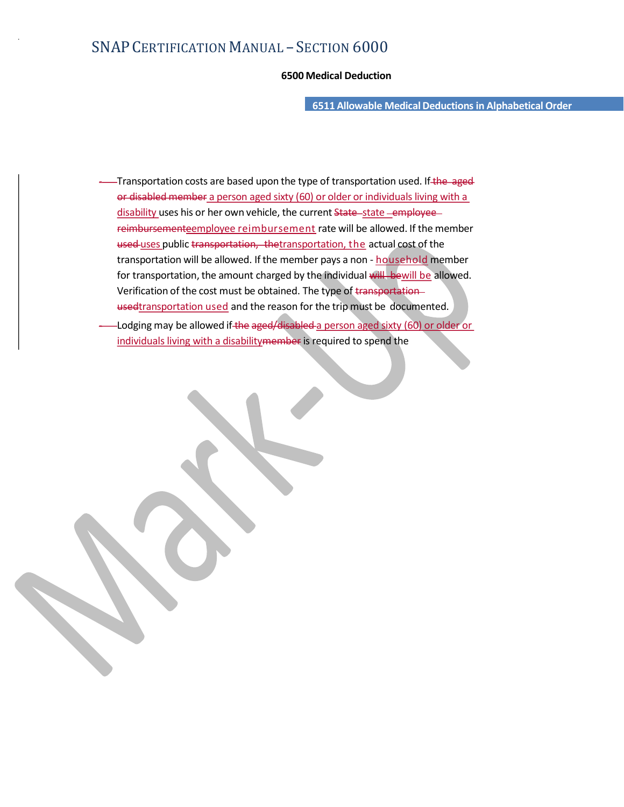- SECTION 6000<br>6500 Medical Deduction<br>6511 Allowable Medical Deductions in Alphabetical Order 6511 Allowable Medical Deductions in Alphabetical Order

- Transportation costs are based upon the type of transportation used. If the aged or disabled member a person aged sixty (60) or older or individuals living with a disability uses his or her own vehicle, the current State-state-employeereimbursementeemployee reimbursement rate will be allowed. If the member used uses public transportation, thetransportation, the actual cost of the transportation will be allowed. If the member pays a non - household member for transportation, the amount charged by the individual will bewill be allowed. Verification of the cost must be obtained. The type of transportation usedtransportation used and the reason for the trip must be documented.<br>- Lodging may be allowed if the aged/disabled a person aged sixty (60) or older or
- individuals living with a disabilitymember is required to spend the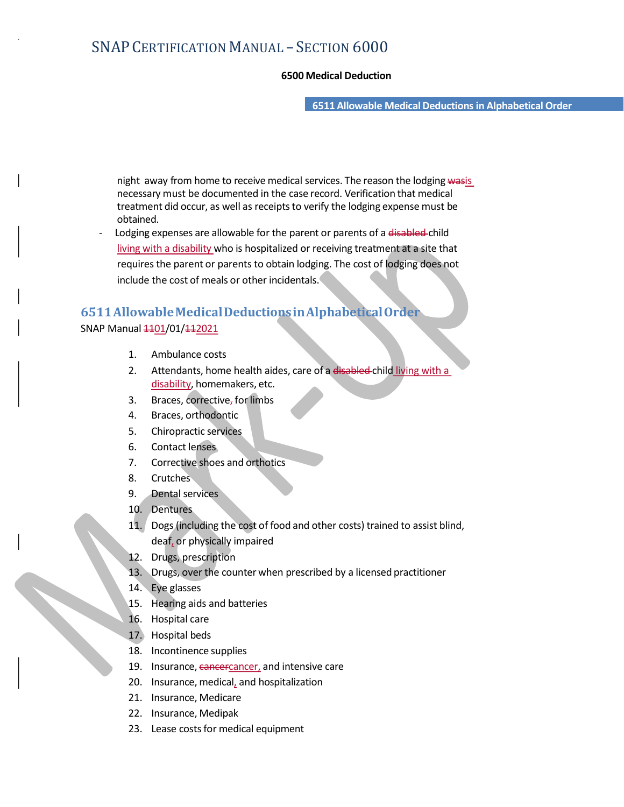- SECTION 6000<br>6500 Medical Deduction<br>6511 Allowable Medical Deductions in Alphabetical Order 6511 Allowable Medical Deductions in Alphabetical Order

night away from home to receive medical services. The reason the lodging wasis necessary must be documented in the case record. Verification that medical treatment did occur, as well as receipts to verify the lodging expense must be obtained.<br>Lodging expenses are allowable for the parent or parents of a disabled-child

living with a disability who is hospitalized or receiving treatment at a site that requires the parent or parents to obtain lodging. The cost of lodging does not include the cost of meals or other incidentals.

# 6511 Allowable Medical Deductions in Alphabetical Order

## SNAP Manual  $\frac{1101}{01}/\frac{112021}{1}$

- 1. Ambulance costs
- 2. Attendants, home health aides, care of a disabled child living with a disability, homemakers, etc.
- 3. Braces, corrective, for limbs
- 4. Braces, orthodontic
- 5. Chiropractic services
- 6. Contact lenses
- 7. Corrective shoes and orthotics
- 8. Crutches
- 9. Dental services
- 10. Dentures
- 11. Dogs (including the cost of food and other costs) trained to assist blind, deaf, or physically impaired
- 12. Drugs, prescription
- 13. Drugs, over the counter when prescribed by a licensed practitioner
- 14. Eye glasses
- 15. Hearing aids and batteries
- 16. Hospital care
- 17. Hospital beds
- 18. Incontinence supplies
- 19. Insurance, cancercancer, and intensive care
- 20. Insurance, medical, and hospitalization
- 21. Insurance, Medicare
- 22. Insurance, Medipak
- 23. Lease costs for medical equipment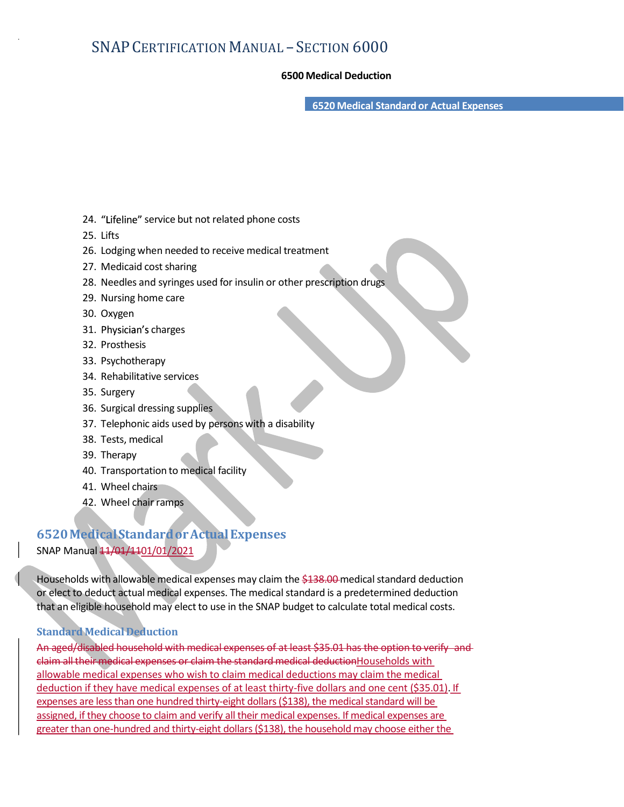- SECTION 6000<br>6500 Medical Deduction<br>6520 Medical Standard or Actual Expenses 6520 Medical Standard or Actual Expenses

- 24. "Lifeline" service but not related phone costs
- 25. Lifts
- 26. Lodging when needed to receive medical treatment
- 27. Medicaid cost sharing
- 28. Needles and syringes used for insulin or other prescription drugs
- 29. Nursing home care
- 30. Oxygen
- 31. Physician's charges
- 32. Prosthesis
- 33. Psychotherapy
- 34. Rehabilitative services
- 35. Surgery
- 36. Surgical dressing supplies
- 37. Telephonic aids used by persons with a disability
- 38. Tests, medical
- 39. Therapy
- 40. Transportation to medical facility
- 41. Wheel chairs
- 42. Wheel chair ramps

## 6520 Medical Standard or Actual Expenses SNAP Manual  $\frac{11}{01}$  /1101/01/2021

Households with allowable medical expenses may claim the \$138.00 medical standard deduction or elect to deduct actual medical expenses. The medical standard is a predetermined deduction that an eligible household may elect to use in the SNAP budget to calculate total medical costs.

## Standard Medical Deduction

An aged/disabled household with medical expenses of at least \$35.01 has the option to verify and claim all their medical expenses or claim the standard medical deductionHouseholds with allowable medical expenses who wish to claim medical deductions may claim the medical deduction if they have medical expenses of at least thirty-five dollars and one cent (\$35.01). If expenses are less than one hundred thirty-eight dollars (\$138), the medical standard will be assigned, if they choose to claim and verify all their medical expenses. If medical expenses are greater than one-hundred and thirty-eight dollars (\$138), the household may choose either the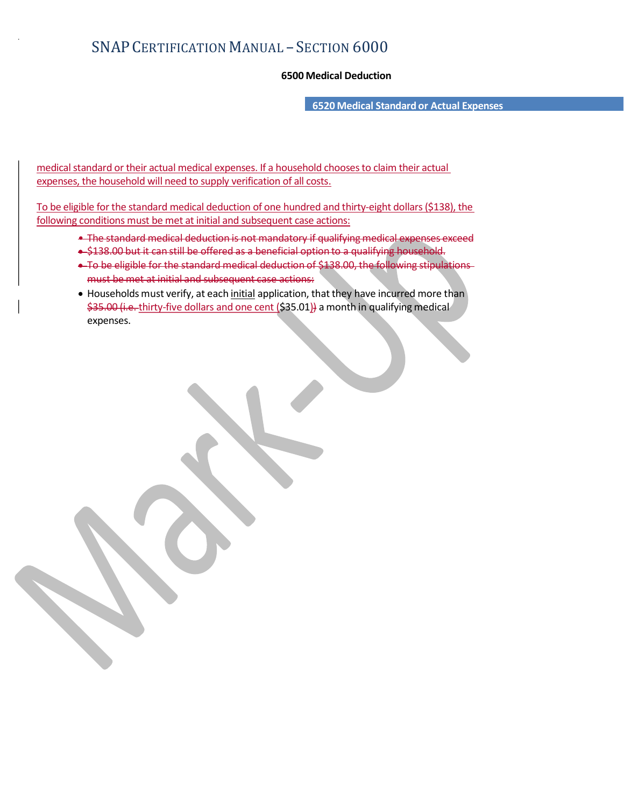- SECTION 6000<br>6500 Medical Deduction<br>6520 Medical Standard or Actual Expenses 6520 Medical Standard or Actual Expenses

medical standard or their actual medical expenses. If a household chooses to claim their actual expenses, the household will need to supply verification of all costs.

To be eligible for the standard medical deduction of one hundred and thirty-eight dollars (\$138), the following conditions must be met at initial and subsequent case actions:

- **The standard medical deduction is not mandatory if qualifying medical expenses**
- . \$138.00 but it can still be offered as a beneficial option to a qualifyir
- To be eligible for the standard medical deduction of \$138.00, the following must be met at initial and subsequent case actions:
- Households must verify, at each initial application, that they have incurred more than \$35.00 (i.e. thirty-five dollars and one cent (\$35.01)) a month in qualifying medical expenses.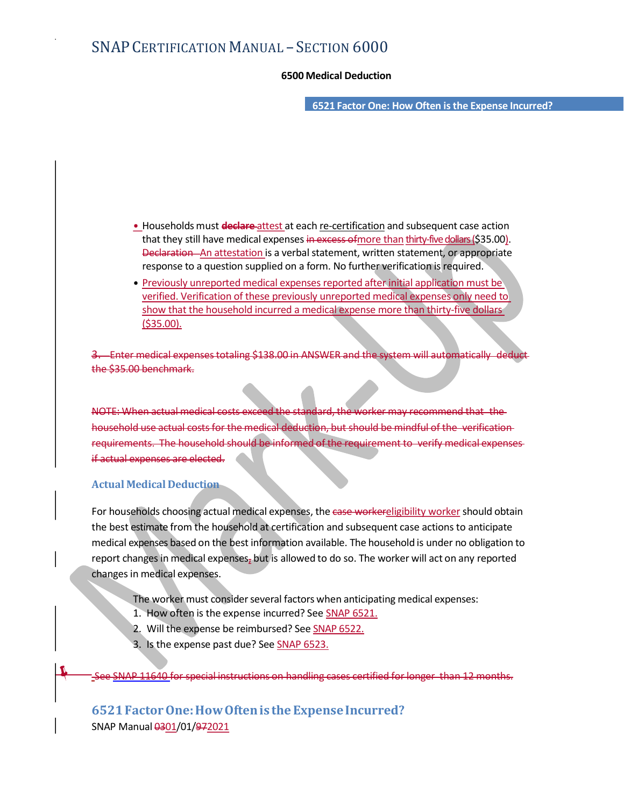- SECTION 6000<br>6500 Medical Deduction<br>6521 Factor One: How Often is the Expense Incurred? 6521 Factor One: How Often isthe Expense Incurred?

- Households must **declare** attest at each re-certification and subsequent case action that they still have medical expenses in excess of more than thirty-five dollars (\$35.00). Declaration An attestation is a verbal statement, written statement, or appropriate response to a question supplied on a form. No further verification is required.
- Previously unreported medical expenses reported after initial application must be verified. Verification of these previously unreported medical expenses only need to show that the household incurred a medical expense more than thirty-five dollars (\$35.00).

Enter medical expenses totaling \$138.00 in ANSWER and the system the \$35.00 benchmark.

NOTE: When actual medical costs exceed the standard, the worker may recommend that household use actual costs for the medical deduction, but should be mindful of the verification requirements. The household should be informed of the requirement if actual expenses are elected.

## Actual Medical Deduction

For households choosing actual medical expenses, the case worker eligibility worker should obtain the best estimate from the household at certification and subsequent case actions to anticipate medical expenses based on the best information and the best information and the best information of the best information and the best information of a statement of a statement of a statement of a statement of the best info report changes in medical expenses, but is allowed to do so. The worker will act on any reported changes in medical expenses.

- The worker must consider several factors when anticipating medical expenses:
- 1. How often is the expense incurred? See SNAP 6521.
- 2. Will the expense be reimbursed? See SNAP 6522.
- 3. Is the expense past due? See SNAP 6523.

SNAP 11640 for special instructions on handling cases certified for longer than 12 months.

6521 Factor One: How Often is the Expense Incurred? SNAP Manual 0301/01/972021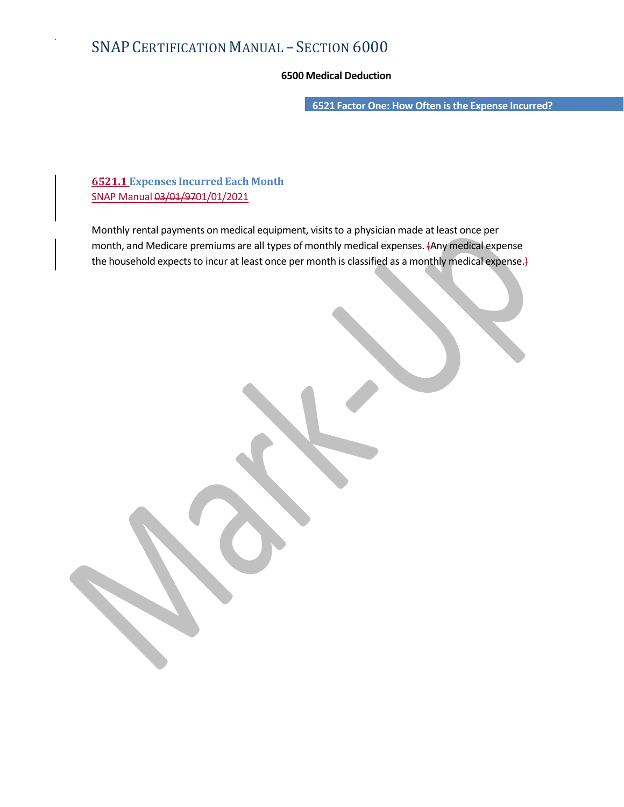- SECTION 6000<br>6500 Medical Deduction<br>6521 Factor One: How Often is the Expense Incurred? 6521 Factor One: How Often is the Expense Incurred?

6521.1 Expenses Incurred Each Month SNAP Manual 03/01/9701/01/2021

Monthly rental payments on medical equipment, visits to a physician made at least once per month, and Medicare premiums are all types of monthly medical expenses. (Any medical expense the household expects to incur at least once per month is classified as a monthly medical expense.}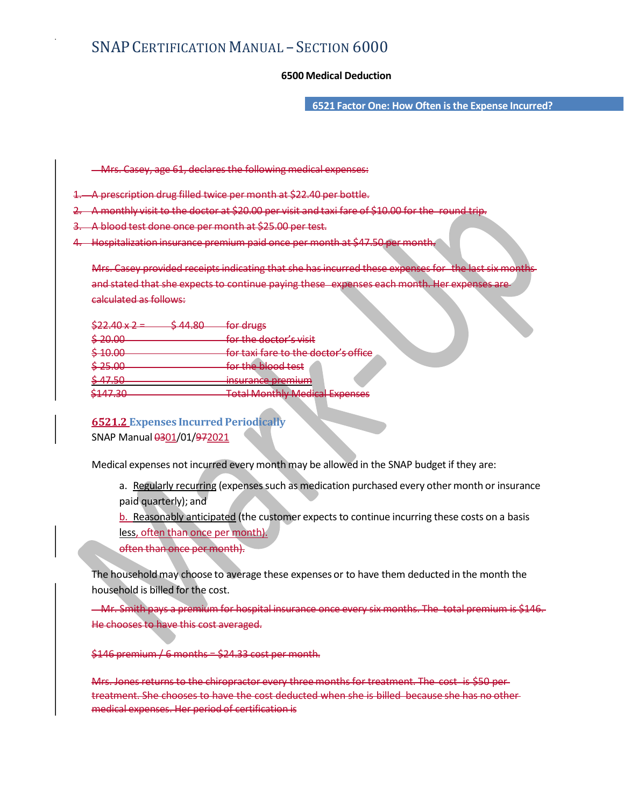- SECTION 6000<br>6500 Medical Deduction<br>6521 Factor One: How Often is the Expense Incurred? 6521 Factor One: How Often isthe Expense Incurred?

Mrs. Casey, age 61, declares the following medical expenses:

- A prescription drug filled twice per month at \$22.40 per bottle.
- A monthly visit to the doctor at \$20.00 per visit and taxi fare of \$10.00 for the
- 3. A blood test done once per month at \$25.00 per test.
- 4. Hospitalization insurance premium paid once per month at \$47.50 per month.

|                                                           |                                       | Mrs. Casey provided receipts indicating that she has incurred these expenses for the last six months                                                                                                                                                                                     |  |
|-----------------------------------------------------------|---------------------------------------|------------------------------------------------------------------------------------------------------------------------------------------------------------------------------------------------------------------------------------------------------------------------------------------|--|
|                                                           |                                       | and stated that she expects to continue paying these expenses each month. Her expenses are-                                                                                                                                                                                              |  |
| calculated as follows:                                    |                                       |                                                                                                                                                                                                                                                                                          |  |
| $$22.40 \times 2$<br><u>¢ 11 RN</u>                       | for drugs                             |                                                                                                                                                                                                                                                                                          |  |
| \$20.00                                                   | for the doctor's visit                |                                                                                                                                                                                                                                                                                          |  |
| \$40.00                                                   | for taxi fare to the doctor's office  |                                                                                                                                                                                                                                                                                          |  |
| \$25.00                                                   | for the blood test                    |                                                                                                                                                                                                                                                                                          |  |
| \$47.50                                                   | <u>insurance premium</u>              |                                                                                                                                                                                                                                                                                          |  |
| \$147.30                                                  | <b>Total Monthly Medical Expenses</b> |                                                                                                                                                                                                                                                                                          |  |
| paid quarterly); and<br>less, often than once per month). |                                       | Medical expenses not incurred every month may be allowed in the SNAP budget if they are:<br>a. Regularly recurring (expenses such as medication purchased every other month or insurance<br>b. Reasonably anticipated (the customer expects to continue incurring these costs on a basis |  |
| often than once per month).                               |                                       | The household may choose to average these expenses or to have them deducted in the month the                                                                                                                                                                                             |  |
| household is billed for the cost.                         |                                       |                                                                                                                                                                                                                                                                                          |  |
|                                                           |                                       | Mr. Smith pays a premium for hospital insurance once every six months. The total premium is \$146.                                                                                                                                                                                       |  |
| He chooses to have this cost averaged.                    |                                       |                                                                                                                                                                                                                                                                                          |  |
| \$146 premium / 6 months = \$24.33 cost per month.        |                                       |                                                                                                                                                                                                                                                                                          |  |
|                                                           |                                       | Mrs. Jones returns to the chiropractor every three months for treatment. The cost, is \$50 per                                                                                                                                                                                           |  |

- a. Regularly recurring (expenses such as medication purchased every other month or insurance paid quarterly); and
- less, often than once per month).
- often than once per month).

### $$146$  premium / 6 months =  $$24.33$  cost per month.

Mrs. Jones returns to the chiropractor every three months for treatment. The treatment. She chooses to have the cost deducted when she is billed because she has no other medical expenses. Her period of certification is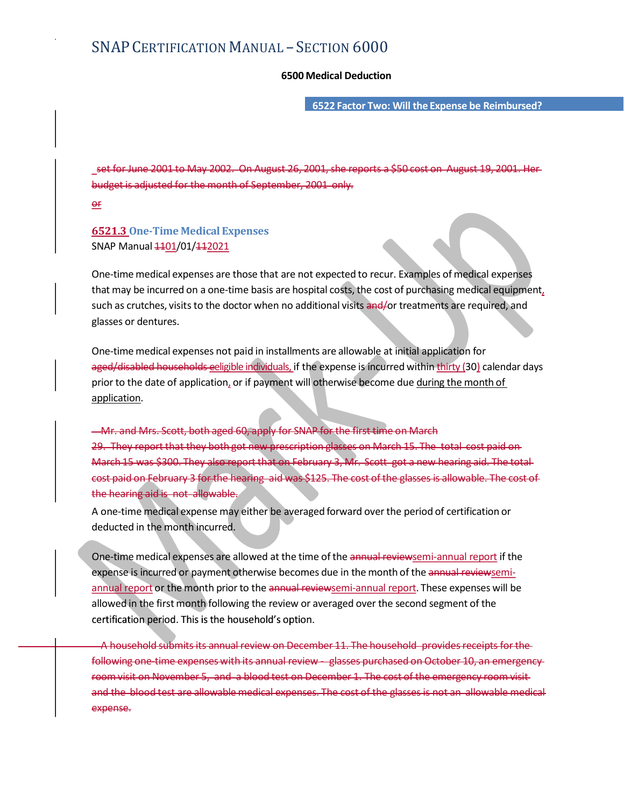- SECTION 6000<br>6500 Medical Deduction<br>6522 Factor Two: Will the Expense be Reimbursed? 6522 Factor Two: Will the Expense be Reimbursed?

 set for June 2001 to May 2002. On August 26, 2001, she reports a \$50 cost on August 19, 2001. Her budget is adjusted for the month of September, 2001 only.

or

## 6521.3 One-Time Medical Expenses SNAP Manual  $1101/01/112021$

One-time medical expenses are those that are not expected to recur. Examples of medical expenses 6500 Medical Deduction<br>
6500 Medical Deduction<br>
5672 Factor Two: Will the Expense be Reimbursed?<br>
<u>5672 Factor Two: Will the Expense be Reimbursed?</u><br>
<u>Set for June-2001</u> to May 2002. On August 26, 2001, she reports a \$50 glasses or dentures.

One-time medical expenses not paid in installments are allowable at initial application for set for June 2001 to May 2002. On August 26, 2001, she reports a \$50 cost on August 19, 2001. Herbudget is adjusted for the month of September, 2001 only.<br>BS21.3. One-Time Medical Expenses<br>SNAP Manual 44<u>01/01/42021</u><br>One-t prior to the date of application, or if payment will otherwise become due during the month of application.

Mr. and Mrs. Scott, both aged 60, apply for SNAP for the first time on March **94.**<br>
20. The Medical Expenses<br>
20. Simples of medical expenses<br>
20. One-time medical expenses are those that are not expected to recur. Examples of medical expenses<br>
that may be incurred on a one-time basis are hospital 20<br>
16521.3 One-Time Medical Expenses<br>
SNAP Manual 4401/01/442021<br>
One-time medical expenses are those that are not expected to recur. Examples of medical expenses<br>
that may be incurred on a one-time basis are hospital cos **6521.3** One-Time Medical Expenses<br>
SNAP Manual 44<u>01/01/442021</u><br>
One-time medical expenses are those that are not expected to recur. Examples of medical expenses<br>
stuch as cruches, visits to the doctor when no additional the hearing aid is not allowable.

A one-time medical expense may either be averaged forward over the period of certification or deducted in the month incurred.

One-time medical expenses are allowed at the time of the annual reviewsemi-annual report if the expense is incurred or payment otherwise becomes due in the month of the annual reviewsemiannual report or the month prior to the annual reviewsemi-annual report. These expenses will be allowed in the first month following the review or averaged over the second segment of the

A household submits its annual review on December 11. The household provides receipts for the following one-time expenses with its annual review - glasses purchased on October 10, an emergency Mr. and Mrs. Scott, both aged 6Q-apply for SNAP for the first time on March cost paid on<br>20. They report that they both got now prescription glueber on March 15. The total cost paid on<br>cost paid on Fobruary 3 for the headi and the blood test are allowable medical expenses. The cost of the glasses is not an allowable medical expense.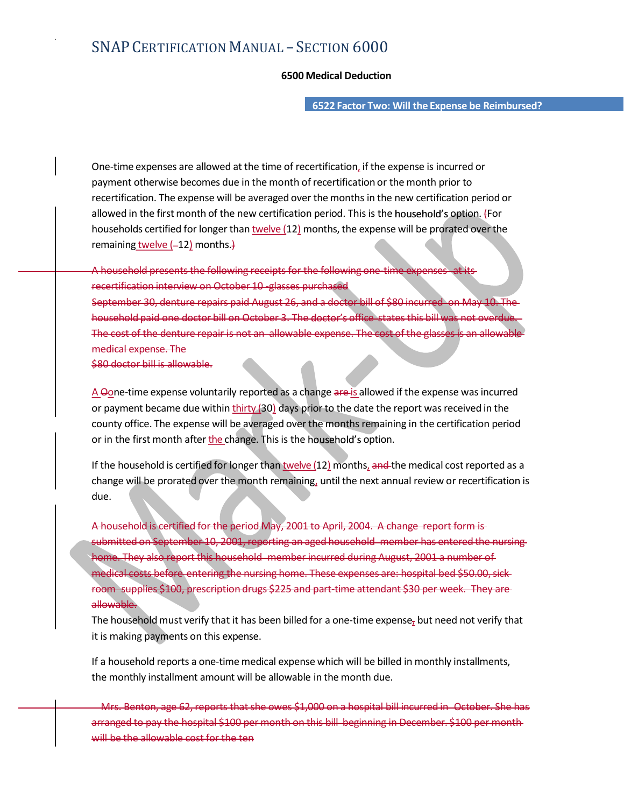- SECTION 6000<br>6500 Medical Deduction<br>6522 Factor Two: Will the Expense be Reimbursed? 6522 Factor Two: Will the Expense be Reimbursed?

One-time expenses are allowed at the time of recertification, if the expense is incurred or payment otherwise becomes due in the month of recertification or the month prior to recertification. The expense will be averaged over the months in the new certification period or allowed in the first month of the new certification period. This is the household's option. (For households certified for longer than twelve (12) months, the expense will be prorated over the remaining twelve  $(-12)$  months.)

A household presents the following receipts for the following one recertification interview on October 10 -glasses purch

September 30, denture repairs paid August 26, and a doctor bill of \$80 incurred household paid one doctor bill on October 3. The office states this bill was not overdue. The cost of the denture repair is not an allowable expense. The cost of the glass medical expense. The allowed in the first month of the new certification period. This is the household's option, {For<br>household grecented for longer than <u>twelve</u> (12) months, the expense will be prorated over the<br>premaining <u>twelve</u> (-12) mon households certified for longer than <u>twelve</u> (12) months, the expense will be prorated over the<br>
A household presents the following enceipts for the following one time expenses at its<br>
A household presents the following c

\$80 doctor bill is allowable.

A Oone-time expense voluntarily reported as a change are is allowed if the expense was incurred or payment became due within thirty (30) days prior to the date the report was received in the county office. The expense will be averaged over the months remaining in the certification period or in the first month after the change. This is the household's option.

due.

A household is certified for the period May, 2001 to April, 2004. A change report form is submitted on September 10, 2001, reporting an aged household member has entered the nursing home. They also report this household member incurred during August, 2001 a number of medical costs before entering the nursing home. These expenses are: hospital bed \$50.00, sick room supplies \$100, prescription drugs \$225 and part-time attendant \$30 per week. They are allowable.

The household must verify that it has been billed for a one-time expense<sub> $<sub>7</sub>$  but need not verify that</sub></sub> it is making payments on this expense.

If a household reports a one-time medical expense which will be billed in monthly installments, the monthly installment amount will be allowable in the month due.

)<del>, age 62, reports that she owes \$1,000 on a hospital bill incurred in October</del> arranged to pay the hospital \$100 per month on this bill beginning in December. \$100 per will be the allowable cost for the ten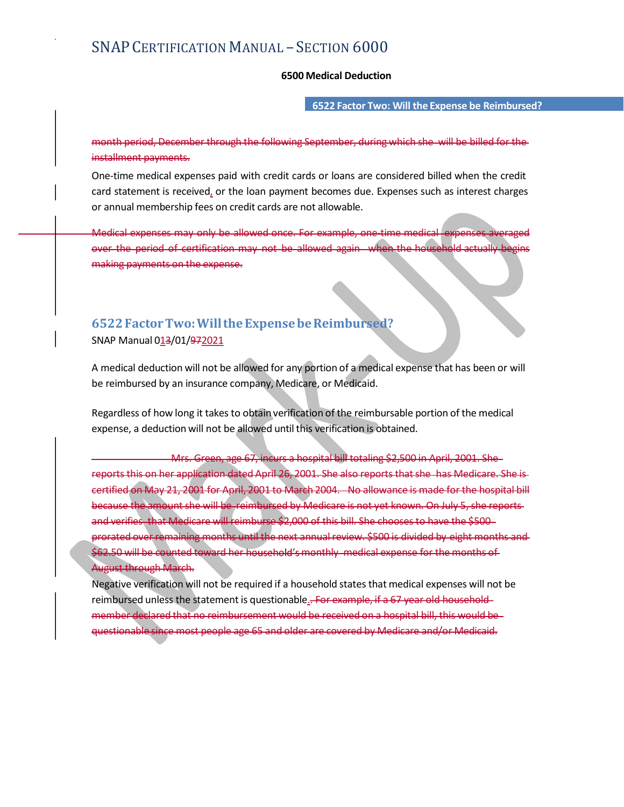6522 Factor Two: Will the Expense be Reimbursed?

- SECTION 6000<br>6500 Medical Deduction<br>6522 Factor Two: Will the Expense be Reimbursed?<br>wing September, during which she will be billed for the installment payments.

SNAP CERTIFICATION MANUAL — SECTION 6000<br>6500 Medical Deduction<br>19522 Factor Two: Will the Expense be Reimbursed?<br>1963 Medical December through the following September, during which she will be billed for the-<br>1964 Merchin One-time medical expenses paid with credit cards or loans are considered billed when the credit card statement is received, or the loan payment becomes due. Expenses such as interest charges or annual membership fees on credit cards are not allowable. month period, December through the following September, during which she will be billed for the<br>
installment payments:<br>
One time medical expenses paid with credit cards or loans are considered billed when the credit<br>
cor a

Medical expenses may only be allowed once. For example, one-time medic over the period of certification may not be allowed again making payments on the expense.

## 6522 Factor Two: Will the Expense be Reimbursed? SNAP Manual 013/01/972021

be reimbursed by an insurance company, Medicare, or Medicaid.

Regardless of how long it takes to obtain verification of the reimbursable portion of the medical expense, a deduction will not be allowed until this verification is obtained.

 Mrs. Green, age 67, incurs a hospital bill totaling \$2,500 in April, 2001. She Medical expenses may only be allowed once. For example, one time medical expenses averaged<br>over the period of certification may not be allowed again when the household actually begins<br>making payments on the expense.<br>ShAP M metual expenses into variation may not be allowed again which the hospitaled actually begins<br>making payments on the expense.<br>SNAP Manual 013/01/972021<br>A medical deduction will not be allowed for any portion of a medical ex because the amount she will be reimbursed by Medicare is not yet known. On July 5, she reports and verifies, that Medicare will reimburse \$2,000 of this bill. She chooses to have the \$500prorated over remaining months until the next annual review. \$500 is divided by eight months and \$62.50 will be counted toward her household's monthly medical expense for the months of August through March.

Negative verification will not be required if a household states that medical expenses will not be reimbursed unless the statement is questionable.. For example, if a 67 year old household member declared that no reimbursement would be received on a hospital bill, this would be questionable since most people age 65 and older are covered by Medicare and/or Medicaid.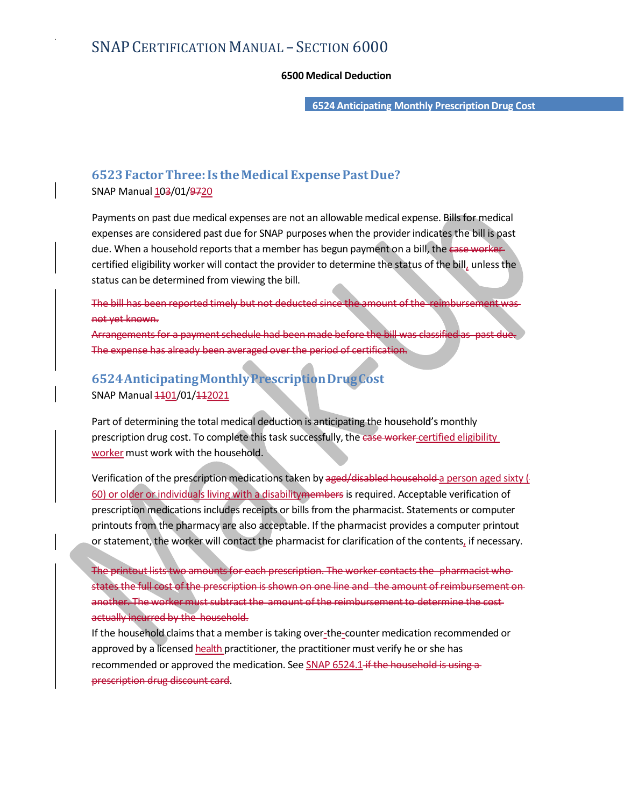- SECTION 6000<br>6500 Medical Deduction<br>6524 Anticipating Monthly Prescription Drug Cost 6524 Anticipating Monthly Prescription Drug Cost

## 6523 Factor Three: Is the Medical Expense Past Due?

SNAP Manual 103/01/9720

Payments on past due medical expenses are not an allowable medical expense. Bills for medical expenses are considered past due for SNAP purposes when the provider indicates the bill is past due. When a household reports that a member has begun payment on a bill, the ease workercertified eligibility worker will contact the provider to determine the status of the bill, unless the status can be determined from viewing the bill.

The bill has been reported timely but not deducted since the amount not yet known.

angements for a payment schedule had been made before the bill the enaveraged over the period of certification.

## 6524 Anticipating Monthly Prescription Drug Cost SNAP Manual  $\frac{1101}{01}/\frac{112021}{1}$

Part of determining the total medical deduction is anticipating the household's monthly prescription drug cost. To complete this task successfully, the case worker-certified eligibility worker must work with the household.

Verification of the prescription medications taken by a ged/disabled household a person aged sixty ( 60) or older or individuals living with a disabilitymembers is required. Acceptable verification of prescription medications includes receipts or bills from the pharmacist. Statements or computer printouts from the pharmacy are also acceptable. If the pharmacist provides a computer printout or statement, the worker will contact the pharmacist for clarification of the contents, if necessary.

The printout lists two amounts for each prescription. The worker contacts the pharmacist who states the full cost of the prescription is shown on one line and the amount of reimbursement on another. The worker must subtract the amount of the reimbursement to determine the cost actually incurred by the household.

If the household claims that a member is taking over-the-counter medication recommended or approved by a licensed health practitioner, the practitioner must verify he or she has recommended or approved the medication. See SNAP 6524.1 if the household is using a prescription drug discount card.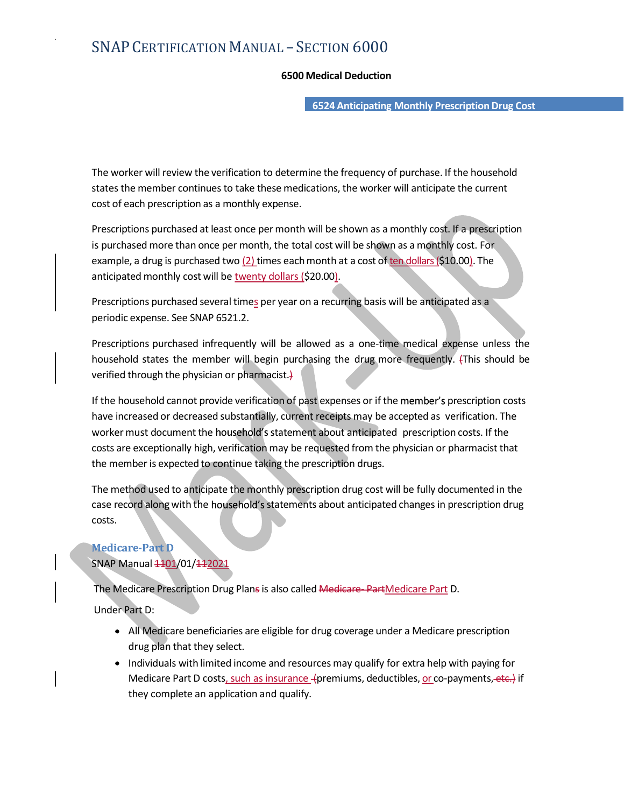- SECTION 6000<br>6500 Medical Deduction<br>6524 Anticipating Monthly Prescription Drug Cost 6524 Anticipating Monthly Prescription Drug Cost

The worker will review the verification to determine the frequency of purchase. If the household states the member continues to take these medications, the worker will anticipate the current cost of each prescription as a monthly expense.

Prescriptions purchased at least once per month will be shown as a monthly cost. If a prescription is purchased more than once per month, the total cost will be shown as a monthly cost. For example, a drug is purchased two (2) times each month at a cost of ten dollars (\$10.00). The **Example 19 The worker will review the verification to determine the frequency of purchase. If the household states the member continues to take these medications, the worker will anticipate the current cost of each prescr For the worker will review the verification to determine the frequency of purchase. If the household states the member continues to take these medications, the worker will anticipate the current cost of each prescription** 

anticipated monthly cost will be <u>twenty dollars (</u>\$20.00).<br>Prescriptions purchased several time<u>s</u> per year on a recurring basis will be anticipated as a periodic expense. See SNAP 6521.2.

verified through the physician or pharmacist.)

If the household cannot provide verification of past expenses or if the member's prescription costs have increased or decreased substantially, current receipts may be accepted as verification. The worker must document the household's statement about anticipated prescription costs. If the costs are exceptionally high, verification may be requested from the physician or pharmacist that the member is expected to continue taking the prescription drugs. Is purchased more than once per month, the total cost will be shown as a monthly cost. For example, a drug is purchased two (2) times each month at a cost of <u>tendollars</u> (\$10.00). The example, a drug is purchased two (2)

case record along with the household's statements about anticipated changes in prescription drug costs.

## Medicare-Part D SNAP Manual  $1101/01/112021$

The Medicare Prescription Drug Plans is also called Medicare-PartMedicare Part D.

Under Part D:

- All Medicare beneficiaries are eligible for drug coverage under a Medicare prescription drug plan that they select.
- Individuals with limited income and resources may qualify for extra help with paying for Medicare Part D costs, such as insurance (premiums, deductibles, or co-payments, etc.) if they complete an application and qualify.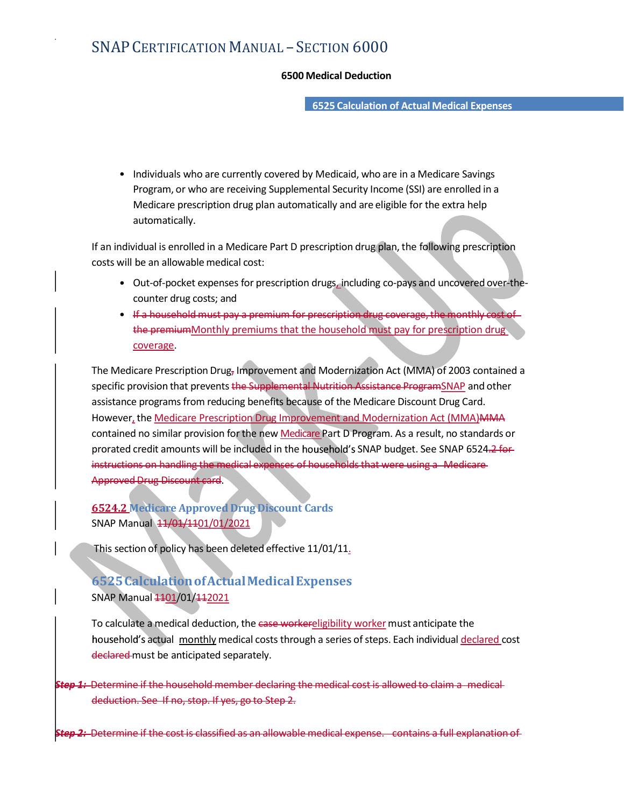- SECTION 6000<br>6500 Medical Deduction<br>6525 Calculation of Actual Medical Expenses 6525 Calculation of Actual Medical Expenses

• Individuals who are currently covered by Medicaid, who are in a Medicare Savings Program, or who are receiving Supplemental Security Income (SSI) are enrolled in a Medicare prescription drug plan automatically and are eligible for the extra help automatically. 6500 Medical Deduction<br>
6525 Calculation of Actual Medical Expenses<br>
Individuals who are currently covered by Medicaid, who are in a Medicare Savings<br>
Program, or who are receiving Supplemental Security Income (SSI) are en

If an individual is enrolled in a Medicare Part D prescription drug plan, the following prescription costs will be an allowable medical cost:

- Out-of-pocket expenses for prescription drugs, including co-pays and uncovered over-thecounter drug costs; and
- the premiumMonthly premiums that the household must pay for prescription drug

• Individuals who are currently covered by Medicaid, who are in a Medicare Savings<br>
Program, or who are receiving Supplemental Security Income (SSI) are enrolled in a<br>
Medicare prescription drug plan automatically and ar specific provision that prevents the Supplemental Nutrition Assistance ProgramSNAP and other assistance programs from reducing benefits because of the Medicare Discount Drug Card. However, the Medicare Prescription Drug Improvement and Modernization Act (MMA)MMA Program, or who are receiving Supplemental Security income (SSI) are enrolled in a<br>
Medicare prescription drug plan automatically and are eligible for the extra help<br>
If an individual is enrolled in a Medicare Part D presc prorated credit amounts will be included in the household's SNAP budget. See SNAP 6524.2 for instructions on handling the medical expenses of households that were using a Medicare Approved Drug Discount card.

6524.2 Medicare Approved Drug Discount Cards SNAP Manual 11/01/1101/01/2021

This section of policy has been deleted effective 11/01/11.

## 6525 Calculation of Actual Medical Expenses SNAP Manual 1101/01/112021

To calculate a medical deduction, the ease workereligibility worker must anticipate the household's actual monthly medical costs through a series of steps. Each individual declared cost declared must be anticipated separately. Approved Drug Discount Cards<br>
SNAP Manual 13/01/19/12021<br>
This section of policy has been deleted effective 11/01/11,<br>
15. SEC Calculation of Actual Medical Expenses<br>
SNAP Manual 1301/01/412021<br>
To calculate a medical ded

Determine if the household member declaring the medical cost is allowed to claim a medicaldeduction. See If no, stop. If yes, go to Step 2.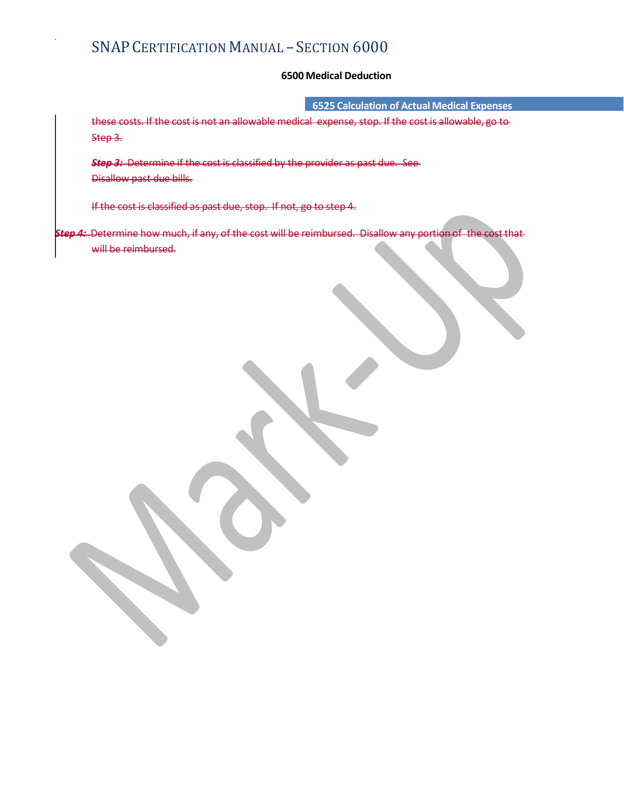6525 Calculation of Actual Medical Expenses

- SECTION 6000<br>6500 Medical Deduction<br>6525 Calculation of Actual Medical Expenses<br>nedical expense, stop. If the cost is allowable, go to these costs. If the cost is not an allowable medical expense, stop. If the cost is allowable, go to Step 3.

Step 3: Determine if the cost is classified by the provider as past due. See Disallow past due bills.

If the cost is classified as past due, stop. If not, go to step 4.

Step 4: Determine how much, if any, of the cost will be reimbursed. Disallow any portion of the cost thatwill be reimbursed.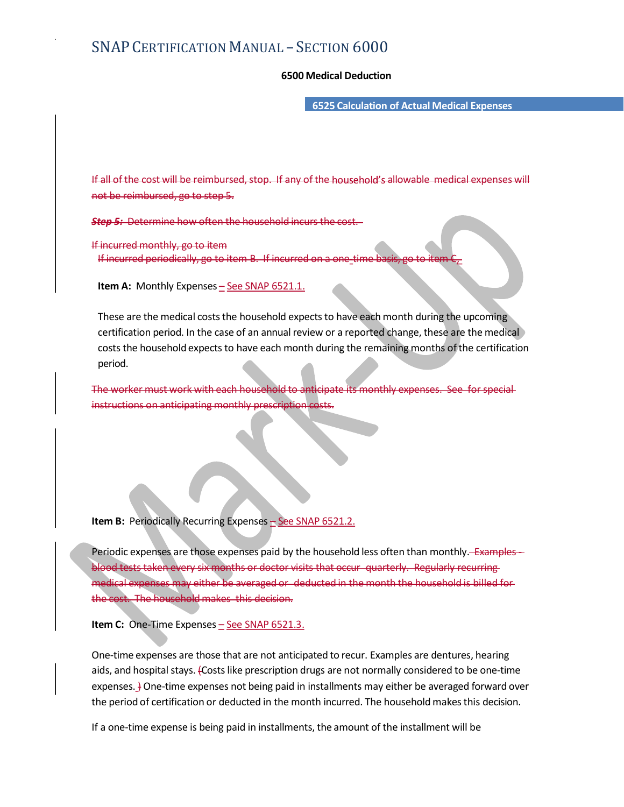- SECTION 6000<br>6500 Medical Deduction<br>6525 Calculation of Actual Medical Expenses 6525 Calculation of Actual Medical Expenses

IS AP CERTIFICATION MANUAL – SECTION 6000<br>6500 Medical Deduction<br>If all of the cost will be reimbursed, stop. If any of the household's allowable medical expenses will<br>not be reimbursed, go to step 5.<br>If incurred monthly, not be reimbursed, go to step 5.

Determine how often the household incurs the cos

If incurred monthly, go to item If incurred periodically

**Item A:** Monthly Expenses  $\frac{1}{2}$  See SNAP 6521.1.

These are the medical costs the household expects to have each month during the upcoming certification period. In the case of an annual review or a reported change, these are the medical costs the household expects to have each month during the remaining months of the certification period. These are the medical costs the household expects to have each month during the upcoming<br>certification period. In the case of an annual review or a reported change, these are the medical<br>costs the household expects to have

The worker must work with each household to anticipate its monthly instructions on anticipating monthly pre

**Item B:** Periodically Recurring Expenses  $\frac{1}{2}$  See SNAP 6521.2.

blood tests taken every six months or doctor visits that occur quarterly. Regularly recurring medical expenses may either be averaged or deducted in the month the household is billed for the cost. The household makes this decision.

Item C: One-Time Expenses  $-$  See SNAP 6521.3.

One-time expenses are those that are not anticipated to recur. Examples are dentures, hearing aids, and hospital stays. (Costs like prescription drugs are not normally considered to be one-time expenses. *J* One-time expenses not being paid in installments may either be averaged forward over the period of certification or deducted in the month incurred. The household makes this decision.

If a one-time expense is being paid in installments, the amount of the installment will be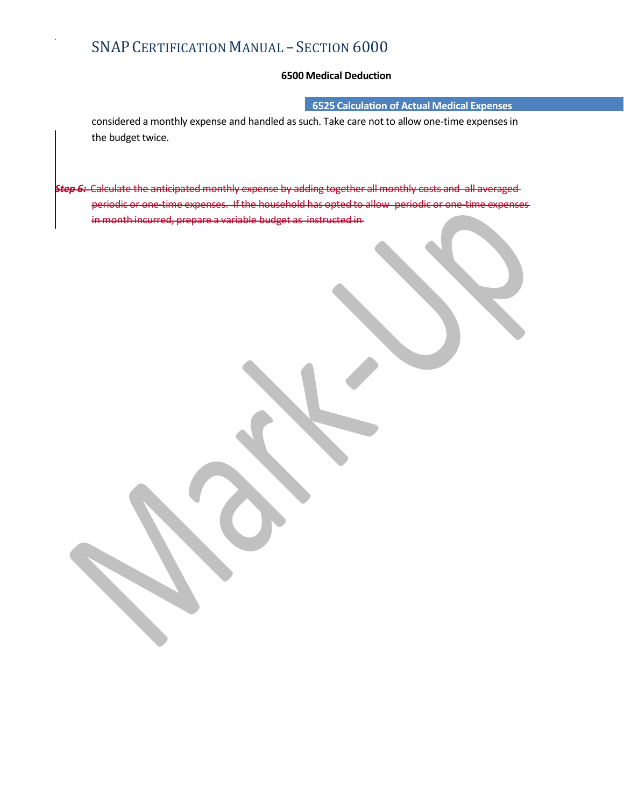6525 Calculation of Actual Medical Expenses

- SECTION 6000<br>6500 Medical Deduction<br>6525 Calculation of Actual Medical Expenses<br>4 as such. Take care not to allow one-time expenses in SNAP CERTIFICATION MANUAL — SECTION 6000<br>6500 Medical Deduction<br>considered a monthly expense and handled as such. Take care not to allow one-time expenses in<br>the budget twice.<br>Calculate the anticipated monthly expense by a the budget twice.

Step 6: Calculate the anticipated monthly expense by adding together all monthly costs and all averaged expenses. If the household has opted to allow periodic or onein month incurred, prepare a variable budget as instructed in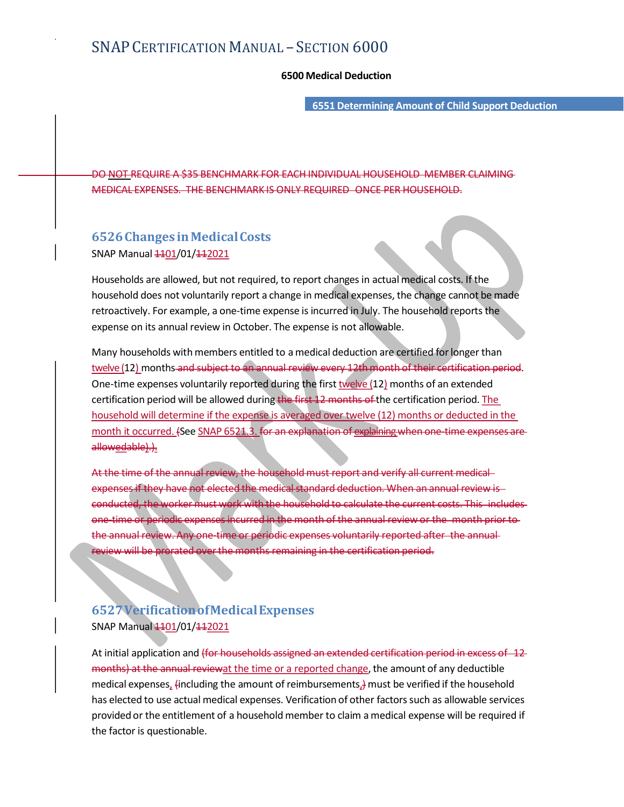- SECTION 6000<br>6500 Medical Deduction<br>6551 Determining Amount of Child Support Deduction 6551 Determining Amount of Child Support Deduction

DO NOT REQUIRE A \$35 BENCHMARK FOR EACH INDIVIDUAL HOUSEHOLD MEMBER CLAIMING MEDICAL EXPENSES. THE BENCHMARK IS ONLY REQUIRED ONCE PER HOUSEHOLD.

## 6526 Changes in Medical Costs SNAP Manual  $1101/01/112021$

Households are allowed, but not required, to report changes in actual medical costs. If the household does not voluntarily report a change in medical expenses, the change cannot be made retroactively. For example, a one-time expense is incurred in July. The household reports the expense on its annual review in October. The expense is not allowable.

Many households with members entitled to a medical deduction are certified for longer than twelve (12) months and subject to an annual review every 12th month of their certification period.<br>One-time expenses voluntarily reported during the first twelve (12) months of an extended certification period will be allowed during the first 12 months of the certification period. The household will determine if the expense is averaged over twelve (12) months or deducted in the month is occurred. (See SNAP 6521.3. for an explaining when one time expenses are explained.)<br>
SNAP Manual  $\pm 401/01/4\pm 2021$ <br>
Households are allowed, but not required, to report changes in actual medical costs. If the<br> allowedable).). Households are allowed, but not required, to report changes in actual medical costs. If the household does not voluntarily report a change in medical expenses, the change cannot be made retroactively. For example, a one-ti

At the time of the annual review, the household must report and verify all current medical expenses if they have not elected the medical standard deduction. When an annual review is conducted, the worker must work with the household to calculate the current costs. This includes annual review. Any one-time or periodic expenses voluntarily reported after the annualreview will be prorated over the months remaining in the certification period. certification period will be allowed during the first 12 months of the certification period. The<br>month it occurred. (See SNAP 6521.3, for an explanation of explaining when one time expenses are<br>importh it occurred. (See SN

## 6527 Verification of Medical Expenses SNAP Manual 1101/01/112021

months) at the annual reviewat the time or a reported change, the amount of any deductible medical expenses, (including the amount of reimbursements,) must be verified if the household has elected to use actual medical expenses. Verification of other factors such as allowable services At the time of the annual review, the household must report and verify all current medical-<br>expense of the worker must wook with the household do calculate the current osts. This includes<br>conducted, the worker must wook wi the factor is questionable.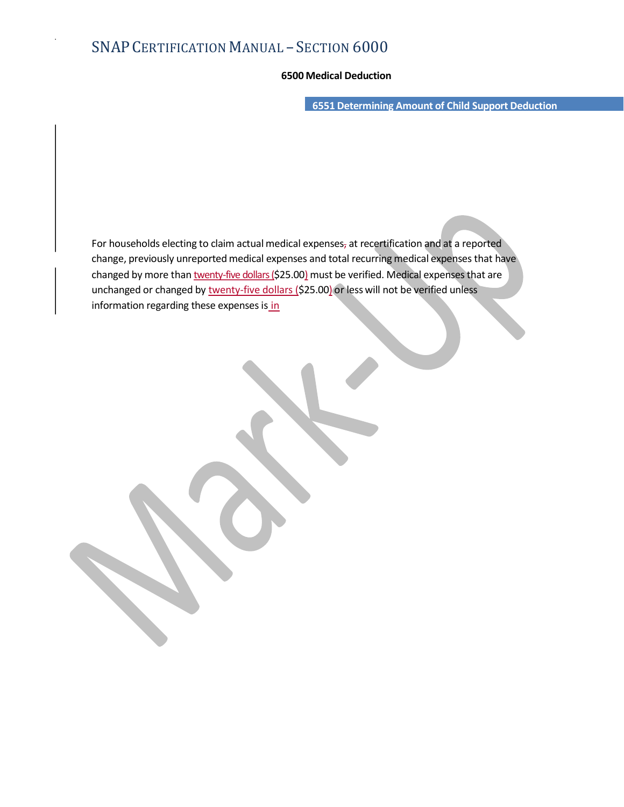- SECTION 6000<br>6500 Medical Deduction<br>6551 Determining Amount of Child Support Deduction 6551 Determining Amount of Child Support Deduction

For households electing to claim actual medical expenses, at recertification and at a reported change, previously unreported medical expenses and total recurring medical expenses that have changed by more than twenty-five dollars (\$25.00) must be verified. Medical expenses that are unchanged or changed by twenty-five dollars (\$25.00) or less will not be verified unless information regarding these expenses is in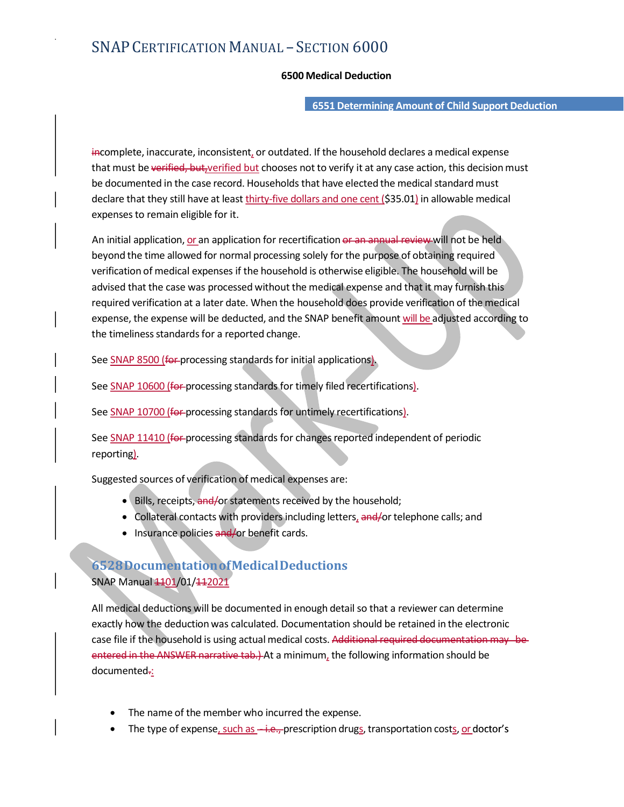- SECTION 6000<br>6500 Medical Deduction<br>6551 Determining Amount of Child Support Deduction<br>idated if the beusehold declares a medical expense 6551 Determining Amount of Child Support Deduction

incomplete, inaccurate, inconsistent, or outdated. If the household declares a medical expense SNAP CERTIFICATION  $M$ ANUAL – SECTION  $6000$ <br>  $6551$  Determining Amount of Child Support Deduction<br>
iftermining in accurate, inconsistent, or outdated. If the household declares a medical expense<br>
that must be verified, b be documented in the case record. Households that have elected the medical standard must declare that they still have at least thirty-five dollars and one cent (\$35.01) in allowable medical expenses to remain eligible for it.

An initial application, or an application for recertification or an annual review will not be held beyond the time allowed for normal processing solely for the purpose of obtaining required verification of medical expenses if the household is otherwise eligible. The household will be advised that the case was processed without the medical expense and that it may furnish this required verification at a later date. When the household does provide verification of the medical expense, the expense will be deducted, and the SNAP benefit amount will be adjusted according to the timeliness standards for a reported change.

See <u>SNAP 8500 (for processing</u> standards for initial applications).<br>See <u>SNAP 10600 (for processing</u> standards for timely filed recertifications).<br>See <u>SNAP 10700 (for processing</u> standards for untimely recertifications).

reporting).<br>Suggested sources of verification of medical expenses are:

- . Bills, receipts, and/or statements received by the household;
- Collateral contacts with providers including letters, and for telephone calls; and
- Insurance policies and/or benefit cards.

## 6528 Documentation of Medical Deductions SNAP Manual 1101/01/112021

All medical deductions will be documented in enough detail so that a reviewer can determine exactly how the deduction was calculated. Documentation should be retained in the electronic See SNAP 10600 (for processing standards for timely filed recertifications).<br>
See SNAP 10700 (for processing standards for untimely recertifications).<br>
See SNAP 11410 (for processing standards for changes reported independ entered in the ANSWER narrative tab.) At a minimum, the following information should be documented-:

- The name of the member who incurred the expense.
- The type of expense, such as -i.e., prescription drugs, transportation costs, or doctor's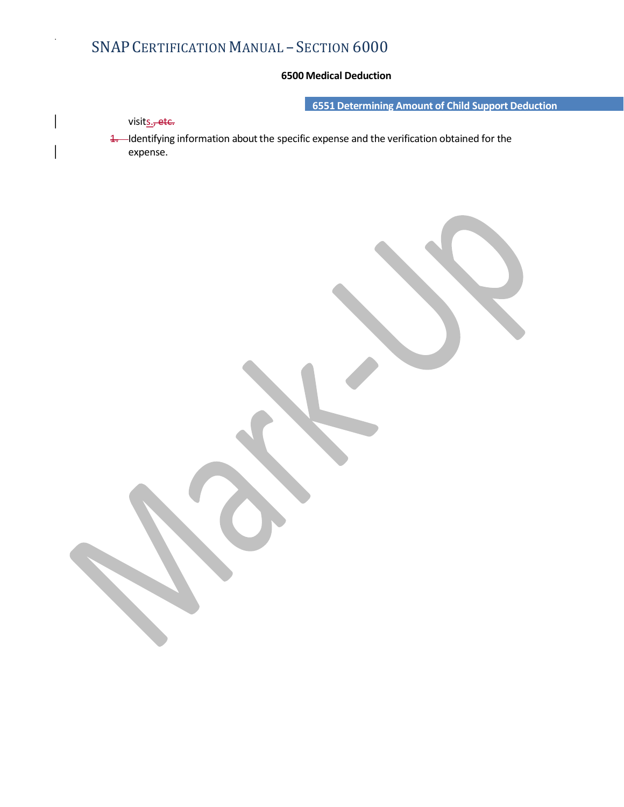6551 Determining Amount of Child Support Deduction

visits., etc.

- SECTION 6000<br>6500 Medical Deduction<br>6551 Determining Amount of Child Support Deduction<br>pecific expense and the verification obtained for the 1. Identifying information about the specific expense and the verification obtained for the expense.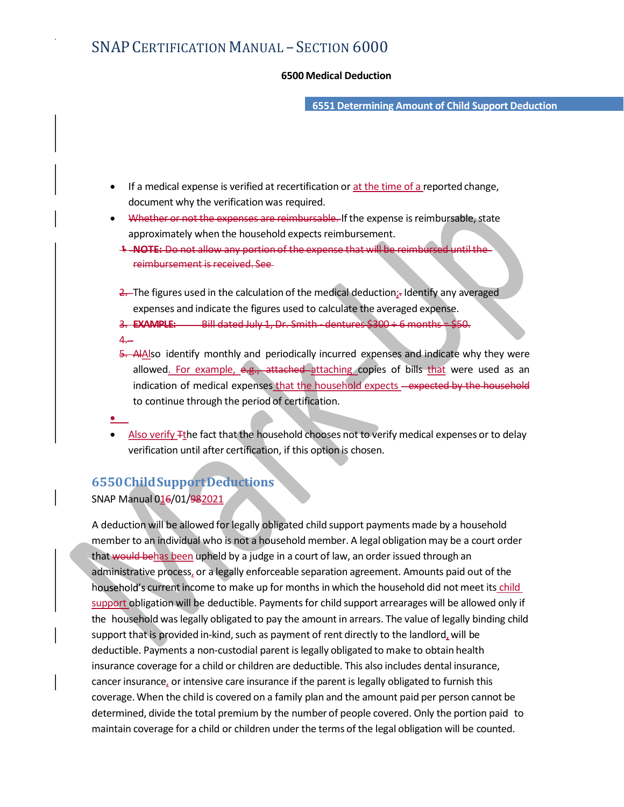- SECTION 6000<br>6500 Medical Deduction<br>6551 Determining Amount of Child Support Deduction 6551 Determining Amount of Child Support Deduction

- If a medical expense is verified at recertification or at the time of a reported change, document why the verification was required.
- Whether or not the expenses are reimbursable. If the expense is reimbursable, state approximately when the household expects reimbursement.
	- NOTE: Do not allow any portion of the expense that will be reimbursed until the reimbursement is received. See
	- $2$ . The figures used in the calculation of the medical deduction;. Identify any averaged expenses and indicate the figures used to calculate the averaged expense.
	- 3. **EXAMPLE:** Bill dated July 1, Dr. Smith dentures  $$300 \div 6$  months =  $$50$ .
	- 4.
- 5.551 Determining Amount of Child Support Deduction<br>
If a medical expense is verified at recertification or <u>at the time of a</u> reported change,<br>
document why the verification was required.<br>
Whether or not the expenses are allowed. For example, e.g., attached attaching copies of bills that were used as an indication of medical expenses that the household expects - expected by the household to continue through the period of certification.
- - Also verify <sup>T</sup>the fact that the household chooses not to verify medical expenses or to delay verification until after certification, if this option is chosen.

## 6550 Child Support Deductions

SNAP Manual 016/01/982021

A deduction will be allowed for legally obligated child support payments made by a household member to an individual who is not a household member. A legal obligation may be a court order that would behas been upheld by a judge in a court of law, an order issued through an administrative process, or a legally enforceable separation agreement. Amounts paid out of the household's current income to make up for months in which the household did not meet its child support obligation will be deductible. Payments for child support arrearages will be allowed only if the household was legally obligated to pay the amount in arrears. The value of legally binding child support that is provided in-kind, such as payment of rent directly to the landlord, will be deductible. Payments a non-custodial parent is legally obligated to make to obtain health insurance coverage for a child or children are deductible. This also includes dental insurance, cancer insurance, or intensive care insurance if the parent is legally obligated to furnish this coverage. When the child is covered on a family plan and the amount paid per person cannot be  $6550$  Child Support Deductions<br>SNAP Manual 016/01/98<u>2021</u><br>A deduction will be allowed for legally obligated child support payments made by a household<br>member to an individual who is not a household member. A legal oblig maintain coverage for a child or children under the terms of the legal obligation will be counted.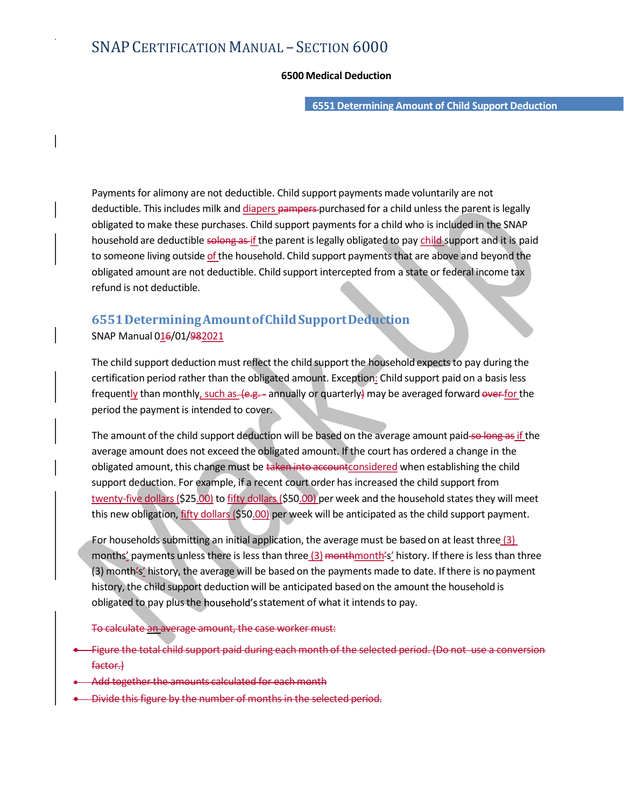- SECTION 6000<br>6500 Medical Deduction<br>6551 Determining Amount of Child Support Deduction 6551 Determining Amount of Child Support Deduction

Payments for alimony are not deductible. Child support payments made voluntarily are not deductible. This includes milk and diapers pampers-purchased for a child unless the parent is legally obligated to make these purchases. Child support payments for a child who is included in the SNAP SNAP CERTIFICATION MANUAL – SECTION 6000<br>6500 Medical Deduction<br>6551 Determining Amount of Child Support Deduction<br>Payments for alimony are not deductible. Child support payments made voluntarily are not<br>deductible. This i SNAP CERTIFICATION MANUAL – SECTION 6000<br>6500 Medical Deduction<br>6551 Determining Amount of Child support Deduction<br>Payments for alimony are not deductible. Child support payments made voluntarily are not<br>deductible. This i SNAP CERTIFICATION MANUAL – SECTION 6000<br>
6500 Medical Deduction<br>
6500 Medical Deduction<br>
6551 Determining Amount of Child Support per deductible. This includes milk and <u>diapers</u> parametes purchased for a child unless th refund is not deductible. **Payments for allmony are not deductible. Child support payments made voluntarily are not**<br>deductible. This includes milk and <u>diapers</u> pampers-purchased for a child unless the parent is legally<br>obligated to make these pur Payments for alimony are not deductible. Child support payments made voluntarily are not<br>deductible. This includes milk and <u>dianers</u> parmeres purchased for a child who is included in the SNAP<br>household are deductible solo Payments for alimony are not deductible. Child support payments made voluntarily are not<br>eductible. This includes milk and <u>diapers</u> pampers-purchased for a child unless the parent is legally<br>bousehold are deductible solen

## 6551 Determining Amount of Child Support Deduction SNAP Manual 016/01/982021

frequently than monthly, such as (e.g. - annually or quarterly) may be averaged forward over for the period the payment is intended to cover.

average amount does not exceed the obligated amount. If the court has ordered a change in the obligated amount, this change must be taken into accountconsidered when establishing the child support deduction. For example, if a recent court order has increased the child support from twenty-five dollars (\$25.00) to fifty dollars (\$50.00) per week and the household states they will meet this new obligation, fifty dollars (\$50.00) per week will be anticipated as the child support payment. 6551 Determining Amount of Child Support Deduction<br>SNAP Manual 0<u>16</u>/01/98<u>2021</u><br>The child support deduction must reflect the child support the hopsehold expects to pay during the<br>certification period rather than the obli

For households submitting an initial application, the average must be based on at least three (3) (3) month's' history, the average will be based on the payments made to date. If there is no payment history, the child support deduction will be anticipated based on the amount the household is obligated to pay plus the household's statement of what it intends to pay.

To calculate an average amount, the case worker must:

- Figure the total child support paid during each month of the selected period. (Do not use a conversion factor.)
- Add together the amounts calculated for each month
- Divide this figure by the number of months in the selected period.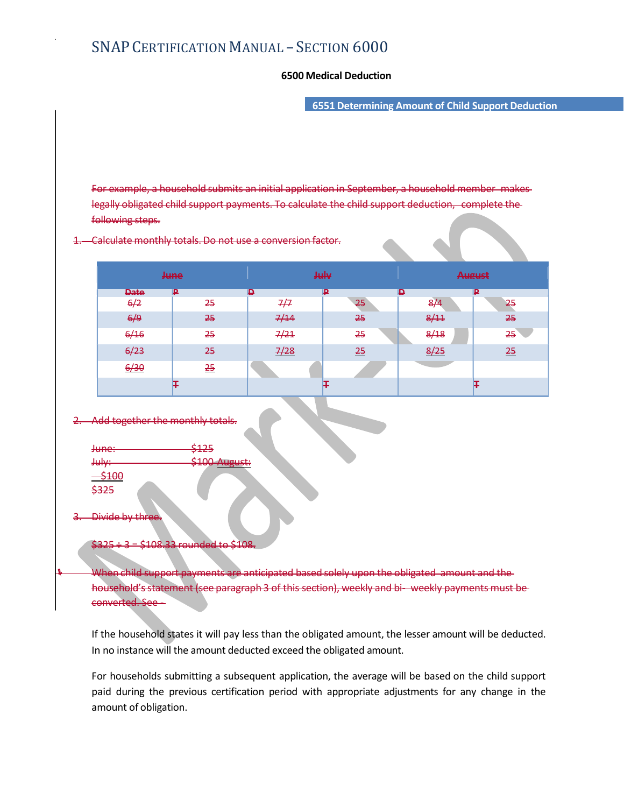- SECTION 6000<br>6500 Medical Deduction<br>6551 Determining Amount of Child Support Deduction 6551 Determining Amount of Child Support Deduction

For example, a household submits an initial application in September, a household member makes legally obligated child support payments. To calculate the child support deduction, complete the following steps.

### Calculate monthly totals

### 2. Add together the monthly totals.

| <del>June:</del> | \$125                                     |
|------------------|-------------------------------------------|
| <b>July:</b>     | $C100$ August:<br><del>sida mugust.</del> |
| $-5100$          |                                           |
| \$325            |                                           |

## 3. Divide by three.

## \$325 ÷ 3 = \$108.33 rounded to \$108.

For households submitting a subsequent application, the average will be based submitting a subsequent application, we child support application, we child subsequent application, we child subsequent application, we child su paid during the previous certification period with appropriate adjustments for any change in the amount of obligation.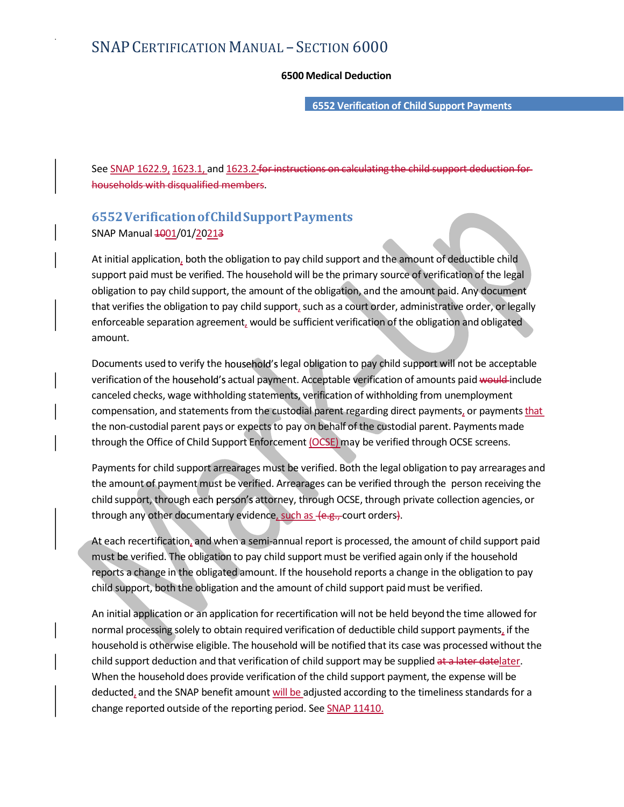- SECTION 6000<br>6500 Medical Deduction<br>6552 Verification of Child Support Payments 6552 Verification of Child Support Payments

See SNAP 1622.9, 1623.1, and 1623.2 for instructions on calculating the child support deduction households with disqualified members.

## 6552 Verification of Child Support Payments SNAP Manual 4001/01/20213

At initial application, both the obligation to pay child support and the amount of deductible child support paid must be verified. The household will be the primary source of verification of the legal obligation to pay child support, the amount of the obligation, and the amount paid. Any document that verifies the obligation to pay child support, such as a court order, administrative order, or legally enforceable separation agreement, would be sufficient verification of the obligation and obligated amount.

Documents used to verify the household's legal obligation to pay child support will not be acceptable verification of the household's actual payment. Acceptable verification of amounts paid would include canceled checks, wage withholding statements, verification of withholding from unemployment compensation, and statements from the custodial parent regarding direct payments, or payments that the non-custodial parent pays or expects to pay on behalf of the custodial parent. Payments made through the Office of Child Support Enforcement (OCSE) may be verified through OCSE screens. SNAP Manual 40<u>01/01/20213</u><br>At initial application, both the obligation to pay child support and the amount of deductible child<br>support paid must be verified. The household will be the primary source of verification of the At initial application, both the obligation to pay child support and the amount of deductible child<br>support paid must be verified. The household will be the primary source of verification of the legal<br>tobligation to pay ch obligation to pay child support, the amount of the obligation, and the amount paid. Any document<br>that verifies the obligation to pay child support, such as a court order, administrative order, or legally<br>enefroceable separ enforceable separation agreement, would be sufficient verification of the obligation and obligated<br>amount.<br>morunts used to verify the household's slegal obligation to pay child support will not be acceptable<br>verification o Documents used to verify the housefield's legal obligation to pay shild support will not be acceptable<br>verification of the household's actual payment. Acceptable wirlication of momonst paid wesult-include<br>canceled checks,

Payments for child support arrearages must be verified. Both the legal obligation to pay arrearages and

must be verified. The obligation to pay child support must be verified again only if the household child support, both the obligation and the amount of child support paid must be verified.

normal processing solely to obtain required verification of deductible child support payments, if the household is otherwise eligible. The household will be notified that its case was processed without the child support deduction and that verification of child support may be supplied <del>at a later date</del>later.<br>When the household does provide verification of the child support payment, the expense will be through the Office of Child Support Enforcement <u>(OCSE</u>) may be verified through OCSE screens.<br>Payments for child support arrearages must be verified. Both the legal obligation to pay arrearages and<br>the amount of payment m change reported outside of the reporting period. See SNAP 11410.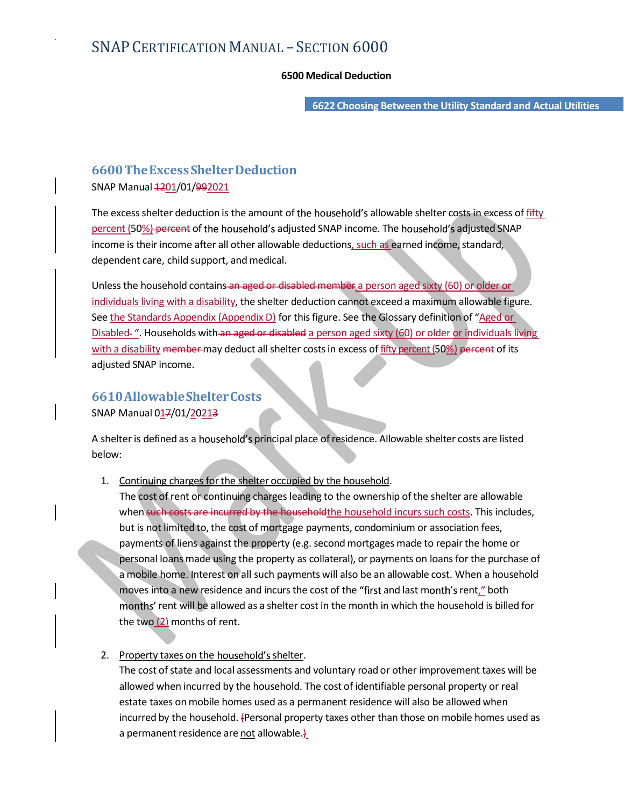- SECTION 6000<br>6500 Medical Deduction<br>6622 Choosing Between the Utility Standard and Actual Utilities 6622 Choosing Between the Utility Standard and Actual Utilities

# 6600 The Excess Shelter Deduction

SNAP Manual  $\frac{1201}{01}/992021$ 

SNAP CERTIFICATION MANUAL – SECTION 6000<br>6500 Medical Deduction<br>6622 Choosing Between the Utility Standard and Actual Utilities<br>5622 Choosing Between the Utility Standard and Actual Utilities<br>6600 The Excess Shelter Deduc percent (50%) percent of the household's adjusted SNAP income. The household's adjusted SNAP income is their income after all other allowable deductions, such as earned income, standard, dependent care, child support, and medical.

Unless the household contains an aged or disabled member a person aged sixty (60) or older or individuals living with a disability, the shelter deduction cannot exceed a maximum allowable figure. See the Standards Appendix (Appendix D) for this figure. See the Glossary definition of "Aged or Disabled ". Households with an aged or disabled a person aged sixty (60) or older or individuals living 6600 The Excess Shelter Deduction<br>SNAP Manual 4201/01/99<u>2021</u><br>The excess shelter deduction is the amount of the household's allowable shelter costs in excess of <u>fifty</u><br>percent [502]-percent of the household's adjusted S adjusted SNAP income.

## 6610 Allowable Shelter Costs SNAP Manual 017/01/20213

A shelter is defined as a household's principal place of residence. Allowable shelter costs are listed below:

1. Continuing charges for the shelter occupied by the household.

The cost of rent or continuing charges leading to the ownership of the shelter are allowable when such costs are incurred by the household the household incurs such costs. This includes, but is not limited to, the cost of mortgage payments, condominium or association fees, payments of liens against the property (e.g. second mortgages made to repair the home or <u>nos home</u> wint a uss<u>aming</u>, the smeller deal collater in exclusion transmitteral and an information of "Aged or<br>education and the property assumed a property and the property and the property of the property and the purc a mobile home. Interest on all such payments will also be an allowable cost. When a household moves into a new residence and incurs the cost of the "first and last month's rent," both rent will be Shelter Costs<br>income.<br>income.<br>The state of the shelter occupied by the household.<br>One changes for the shelter occupied by the household.<br>As of rent or continuing charges leading to the ownership of the shelter the two  $(2)$  months of rent. Continuing charges for the shelter occupied by the household.<br>The cost of rent or continuing charges leading to the ownership of the shelter are allowable<br>when such costs. This includes<br>but is not limited to, the cost of m

## 2. Property taxes on the household's shelter.

The cost of state and local assessments and voluntary road or other improvement taxes will be allowed when incurred by the household. The cost of identifiable personal property or real estate taxes on mobile homes used as a permanent residence will also be allowed when a permanent residence are not allowable. $\frac{1}{2}$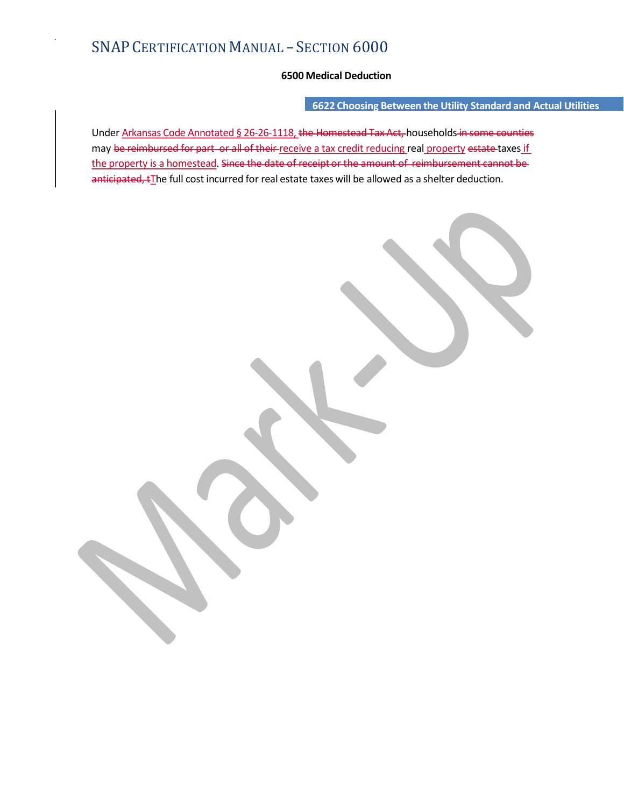## 6622 Choosing Between the Utility Standard and Actual Utilities

- SECTION 6000<br>6500 Medical Deduction<br>6622 Choosing Between the Utility Standard and Actual Utilities<br><u>18, the Homestead Tax Act</u>, households in some counties<br>receive a tax credit reducing real property e<del>state t</del>axes if Under Arkansas Code Annotated § 26-26-1118, the Homestead Tax Act, households in some counties may be reimbursed for part or all of their receive a tax credit reducing real property estate taxes if SNAP CERTIFICATION MANUAL – SECTION  $6000$ <br>  $6520$  Medical Deduction<br>  $6622$  Choosing Between the Utility Standard and Actual Utilities<br>
may be reimbursed for part or all of their receive a tax credit reducing real proper anticipated,  $t$ The full cost incurred for real estate taxes will be allowed as a shelter deduction.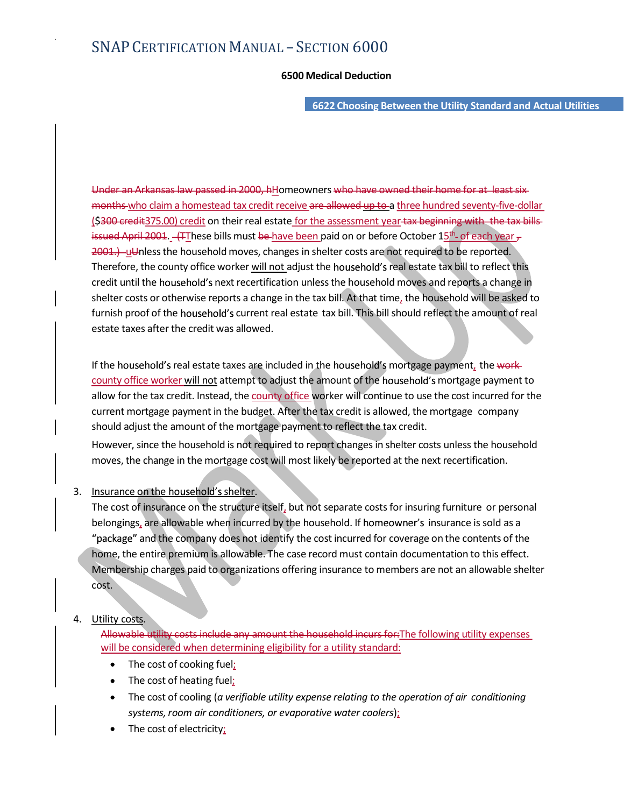- SECTION 6000<br>6500 Medical Deduction<br>6622 Choosing Between the Utility Standard and Actual Utilities 6622 Choosing Between the Utility Standard and Actual Utilities

SNAP CERTIFICATION MANUAL — SECTION  $6000$ <br>6500 Medical Deduction<br>6622 Choosing Between the Utility Standard and Actual Utilities<br>Under an Arkansas law passed in 2000, hHomeowners who have owned their home for at least si months who claim a homestead tax credit receive are allowed up to a three hundred seventy-five-dollar SNAP CERTIFICATION MANUAL – SECTION  $6000$ <br>  $6500$  Medical Deduction<br>  $652$  Choosing Between the Utility Standard and Actual Utilities<br>
Under an Arkansas-law passed in 2000, httomeowners who have owned their home for at issued April 2001. (These bills must be have been paid on or before October 15<sup>th</sup> of each year  $\tau$ tility Standard and Actual Utilities<br>
me for at least six<br>
ed seventy-five-dollar<br>
ing with the tax bills<br>
the of each year –<br>
be reported.<br>
x bill to reflect this<br>
reports a change in<br>
hold will be asked to<br>
the amount of 2001.) uUnless the household moves, changes in shelter costs are not required to be reported. SNAP CERTIFICATION MANUAL – SECTION  $6000$ <br>
6500 Medical Deduction<br>
6622 Choosing Between the Utility Standard and Actual Utilities<br>
Under an Arkansas law passed in 2000, hilomeowners who have ewned their home for at leas credit until the household's next recertification unless the household moves and reports a change in shelter costs or otherwise reports a change in the tax bill. At that time, the household will be asked to for the current real estate tax bill. This bill should relief the mount of the current real estate tax bill. According the current real estate for the current real estate in the current real estate for the amount of the cu estate taxes after the credit was allowed. Under an Arkansas law passed in 2000, hHomeowners who have ewned their home for at least six<br>months who claim a homestead tax credit receive are allowed up to a line hundred seventy-five-dollar.<br>(5300-credit:375.00) credit Under an Arkansas law passed in 2000, hHomeowners who have ewned their home for at least six-<br>months who claim a homestead tax credit receive are allowed yet to the hundred seventy-five-dollar<br>[\$300-credit375.00) credit on

If the household's real estate taxes are included in the household's mortgage payment, the workcurrent mortgage payment in the budget. After the tax credit is allowed, the mortgage company should adjust the amount of the mortgage payment to reflect the tax credit.

However, since the household is not required to report changes in shelter costs unless the household moves, the change in the mortgage cost will most likely be reported at the next recertification.

## 3. Insurance on the household's shelter.

The cost of insurance on the structure itself, but not separate costs for insuring furniture or personal Interiore, me county omce womer <u>win not</u> aagust the nousehold moves and reports a change in credict until the household's next recertification unless the bousehold moves and reports a change in shelter costs or otherwise the noussends shear tereturication times the nousseloid moves and reports a change in the cost is to cotherwise reports a change in the tax bill. At that time, the household will be asked to of of the household's current r home, the entire premium is allowable. The case record must contain documentation to this effect. musin proto the household's scherint rear eisate tax bin. This bin should relieve it the another costs are not<br>to control server the membership control of the control of the form of the form of the form of the membership c cost.

## 4. Utility costs.

Allowable utility costs include any amount the household incurs for: The following utility expenses will be considered when determining eligibility for a utility standard:

- $\bullet$ The cost of cooking fuel;
- The cost of heating fuel;
- The cost of cooling (a verifiable utility expense relating to the operation of air conditioning systems, room air conditioners, or evaporative water coolers);
- The cost of electricity;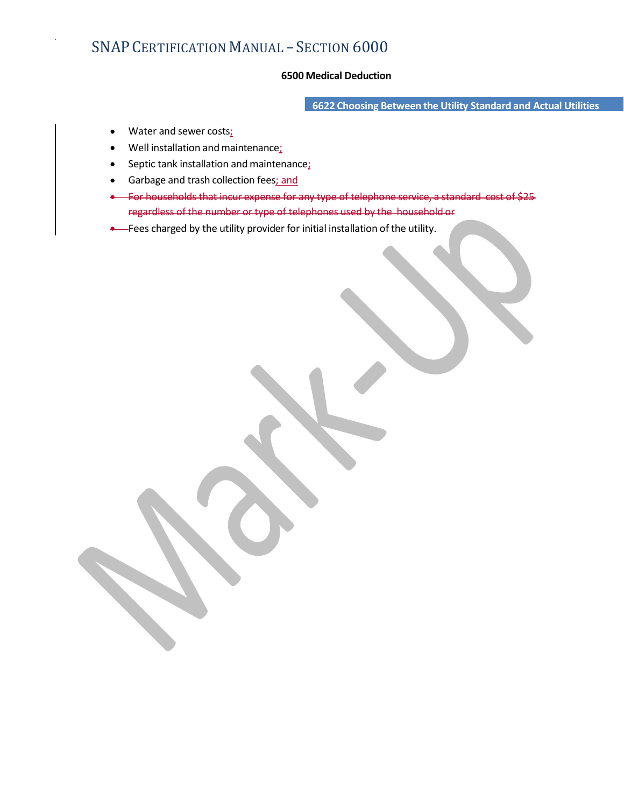- SECTION 6000<br>6500 Medical Deduction<br>6622 Choosing Between the Utility Standard and Actual Utilities 6622 Choosing Between the Utility Standard and Actual Utilities

- Water and sewer costs;  $\bullet$
- Well installation and maintenance;  $\bullet$
- Septic tank installation and maintenance;  $\bullet$
- Garbage and trash collection fees; and  $\bullet$
- For households that incur expense for any type of telephone service, a standard cost regardless of the number or type of telephones used by the household or
- **.** Fees charged by the utility provider for initial installation of the utility.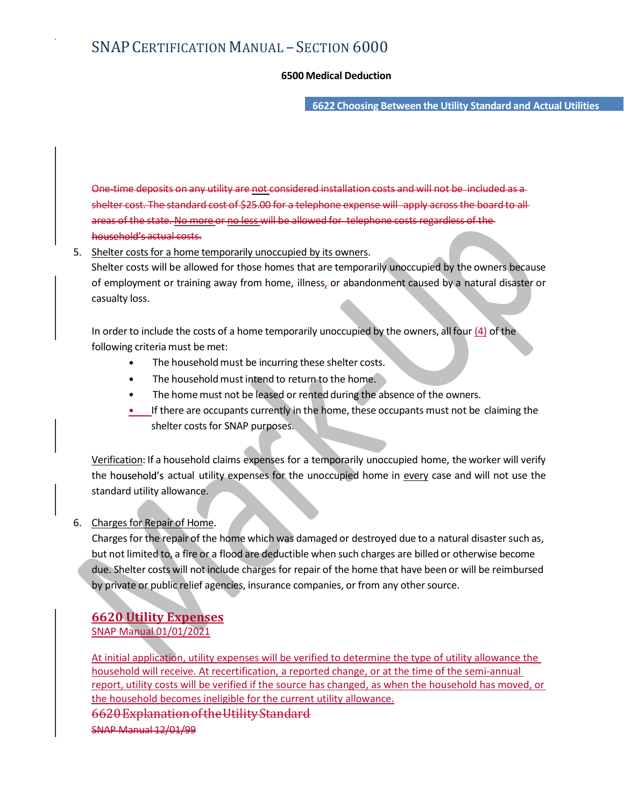- SECTION 6000<br>6500 Medical Deduction<br>6622 Choosing Between the Utility Standard and Actual Utilities 6622 Choosing Between the Utility Standard and Actual Utilities

SNAP CERTIFICATION MANUAL – SECTION  $6000$ <br>6500 Medical Deduction<br>6622 Choosing Between the Utility Standard and Actual Utilities<br>One-time deposits on any utility are <u>not considered installation costs and will not be inc</u> SNAP CERTIFICATION MANUAL – SECTION 6000<br>6500 Medical Deduction<br>6622 Choosing Between the Utility Standard and Actual Utilities<br>6622 Choosing Between the Utility Standard and Actual Utilities<br>shelter cost. The standard cos areas of the state. No more or no less will be allowed for telephone costs regardless of the household's actual costs. SNAP CERTIFICATION MANUAL – SECTION  $6000$ <br>
6500 Medical Deduction<br>
6622 Choosing Between the Utility Standard and Actual Utilities<br>
Constitute costs will be allowed for the standard costs are will apply across the board SNAP CERTIFICATION MANUAL – SECTION 6000<br>
6500 Medical Deduction<br>
6622 Choosing Between the Utility Standard and Actual Utilities<br>
Shelter cost. The standard cost of \$25.00 for a telephone expense will apply across the bo

## 5. Shelter costs for a home temporarily unoccupied by its owners.

casualty loss.

In order to include the costs of a home temporarily unoccupied by the owners, all four  $(4)$  of the following criteria must be met:

- The household must be incurring these shelter costs.
- The household must intend to return to the home.
- The home must not be leased or rented during the absence of the owners.
- If there are occupants currently in the home, these occupants must not be claiming the shelter costs for SNAP purposes.

Verification: If a household claims expenses for a temporarily unoccupied home, the worker will verify are of the tasted of the home which was damaged or destroyed due to a natural disaster such as<br>
Shelter costs for a home temporarily unoccupied by its owners.<br>
Shelter costs for a home temporarily unoccupied by its owners standard utility allowance.

## 6. Charges for Repair of Home.

or employment or training away from nome, illness, or abandomment caused by a natural disaster or<br>
In order to include the costs of a home temporarily unoccupied by the owners, all four  $\Delta$  of the<br>
following criteria mus but not limited to, a fire or a flood are deductible when such charges are billed or otherwise become due. Shelter costs will not include charges for repair of the home that have been or will be reimbursed by private or public relief agencies, insurance companies, or from any other source.

## 6620 Utility Expenses SNAP Manual 01/01/2021

At initial application, utility expenses will be verified to determine the type of utility allowance the household will receive. At recertification, a reported change, or at the time of the semi-annual report, utility costs will be verified if the source has changed, as when the household has moved, or the household becomes ineligible for the current utility allowance. 6620 Explanation of the Utility Standard

SNAP Manual 12/01/99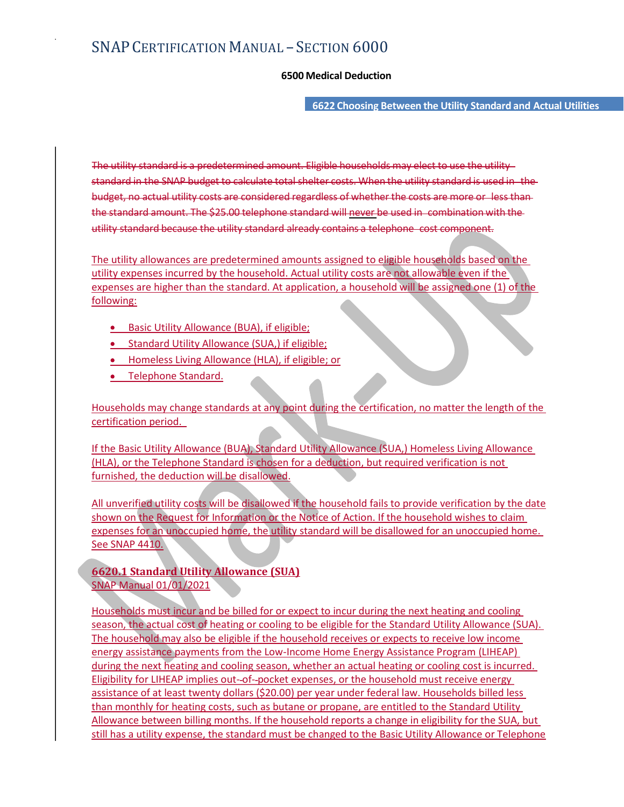- SECTION 6000<br>6500 Medical Deduction<br>6622 Choosing Between the Utility Standard and Actual Utilities 6622 Choosing Between the Utility Standard and Actual Utilities

The utility standard is a predetermined amount. Eligible households may elect to use the utility standard in the SNAP CERTIFICATION MANUAL — SECTION 6000<br>6500 Medical Deduction<br>The utility standard is a predetermined amount. Eligible households may elect to use the utility<br>standard in the SNAP budget to calculate tota  $\text{SNAP CERTIFICATION MANUAL} = \text{SECTION } 6000$ <br>  $\text{6500 Medical Deduction}$ <br>  $\text{6622 Choosing Between the Utility Standard and Actual Itilities}$ The utility standard is a predetermined amount. Eligible households may elect to use the utility-standard in the SNAP budget to calculate total shelter costs. W the standard amount. The \$25.00 telephone standard will never be used in combination with the utility standard because the utility standard already contains a telephone cost component.

The utility allowances are predetermined amounts assigned to eligible households based on the utility expenses incurred by the household. Actual utility costs are not allowable even if the expenses are higher than the standard. At application, a household will be assigned one (1) of the following:

- Basic Utility Allowance (BUA), if eligible:
- Standard Utility Allowance (SUA.) if eligible:
- Homeless Living Allowance (HLA), if eligible; or
- Telephone Standard.

Households may change standards at any point during the certification, no matter the length of the certification period.

If the Basic Utility Allowance (BUA), Standard Utility Allowance (SUA,) Homeless Living Allowance (HLA), or the Telephone Standard is chosen for a deduction, but required verification is not furnished, the deduction will be disallowed.

All unverified utility costs will be disallowed if the household fails to provide verification by the date shown on the Request for Information or the Notice of Action. If the household wishes to claim expenses for an unoccupied home, the utility standard will be disallowed for an unoccupied home. See SNAP 4410.

6620.1 Standard Utility Allowance (SUA) SNAP Manual 01/01/2021

Households must incur and be billed for or expect to incur during the next heating and cooling season, the actual cost of heating or cooling to be eligible for the Standard Utility Allowance (SUA). The household may also be eligible if the household receives or expects to receive low income energy assistance payments from the Low-Income Home Energy Assistance Program (LIHEAP) during the next heating and cooling season, whether an actual heating or cooling cost is incurred. Eligibility for LIHEAP implies out--of--pocket expenses, or the household must receive energy assistance of at least twenty dollars (\$20.00) per year under federal law. Households billed less than monthly for heating costs, such as butane or propane, are entitled to the Standard Utility Allowance between billing months. If the household reports a change in eligibility for the SUA, but still has a utility expense, the standard must be changed to the Basic Utility Allowance or Telephone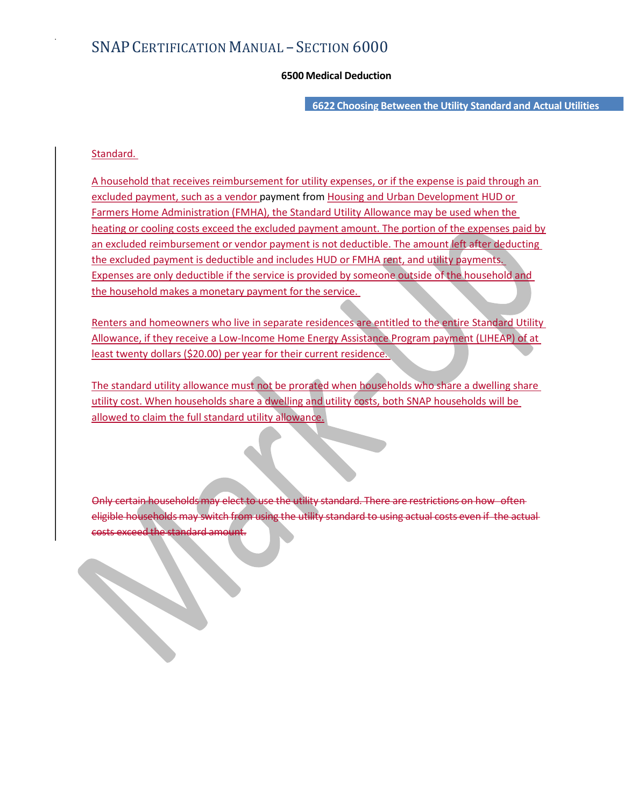- SECTION 6000<br>6500 Medical Deduction<br>6622 Choosing Between the Utility Standard and Actual Utilities 6622 Choosing Between the Utility Standard and Actual Utilities

## Standard.

A household that receives reimbursement for utility expenses, or if the expense is paid through an excluded payment, such as a vendor payment from Housing and Urban Development HUD or Farmers Home Administration (FMHA), the Standard Utility Allowance may be used when the heating or cooling costs exceed the excluded payment amount. The portion of the expenses paid by an excluded reimbursement or vendor payment is not deductible. The amount left after deducting the excluded payment is deductible and includes HUD or FMHA rent, and utility payments. Expenses are only deductible if the service is provided by someone outside of the household and the household makes a monetary payment for the service.

Renters and homeowners who live in separate residences are entitled to the entire Standard Utility Allowance, if they receive a Low-Income Home Energy Assistance Program payment (LIHEAP) of at least twenty dollars (\$20.00) per year for their current residence.

The standard utility allowance must not be prorated when households who share a dwelling share utility cost. When households share a dwelling and utility costs, both SNAP households will be allowed to claim the full standard utility allowance.

the utility standard. There eligible households may switch from using the utility standard to using actual costs even if the actual costs exceed the standard amou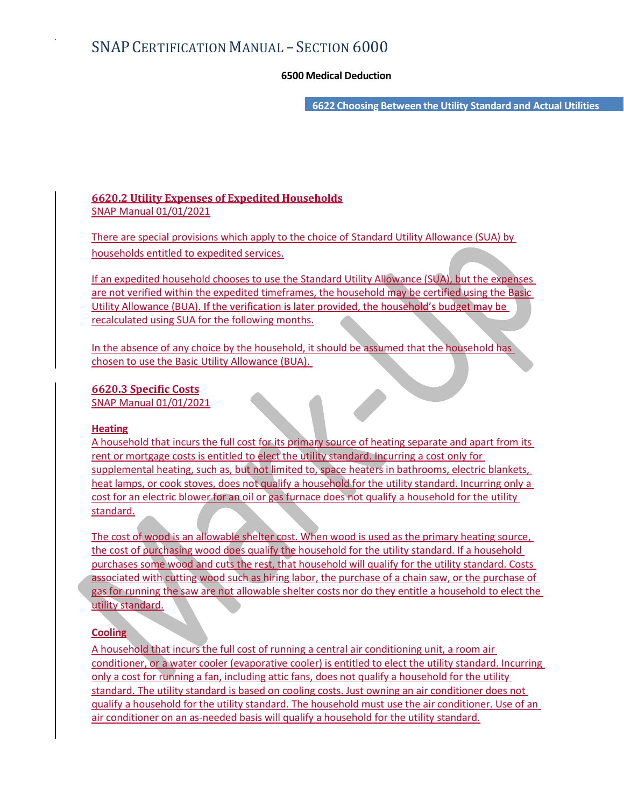- SECTION 6000<br>6500 Medical Deduction<br>6622 Choosing Between the Utility Standard and Actual Utilities 6622 Choosing Between the Utility Standard and Actual Utilities

## 6620.2 Utility Expenses of Expedited Households SNAP Manual 01/01/2021

There are special provisions which apply to the choice of Standard Utility Allowance (SUA) by households entitled to expedited services.

If an expedited household chooses to use the Standard Utility Allowance (SUA), but the expenses are not verified within the expedited timeframes, the household may be certified using the Basic Utility Allowance (BUA). If the verification is later provided, the household's budget may be recalculated using SUA for the following months.

In the absence of any choice by the household, it should be assumed that the household has chosen to use the Basic Utility Allowance (BUA).

## 6620.3 Specific Costs

SNAP Manual 01/01/2021

## **Heating**

A household that incurs the full cost for its primary source of heating separate and apart from its rent or mortgage costs is entitled to elect the utility standard. Incurring a cost only for supplemental heating, such as, but not limited to, space heaters in bathrooms, electric blankets, heat lamps, or cook stoves, does not qualify a household for the utility standard. Incurring only a cost for an electric blower for an oil or gas furnace does not qualify a household for the utility standard.

The cost of wood is an allowable shelter cost. When wood is used as the primary heating source, the cost of purchasing wood does qualify the household for the utility standard. If a household purchases some wood and cuts the rest, that household will qualify for the utility standard. Costs associated with cutting wood such as hiring labor, the purchase of a chain saw, or the purchase of gas for running the saw are not allowable shelter costs nor do they entitle a household to elect the utility standard.

## **Cooling**

A household that incurs the full cost of running a central air conditioning unit, a room air conditioner, or a water cooler (evaporative cooler) is entitled to elect the utility standard. Incurring only a cost for running a fan, including attic fans, does not qualify a household for the utility standard. The utility standard is based on cooling costs. Just owning an air conditioner does not qualify a household for the utility standard. The household must use the air conditioner. Use of an air conditioner on an as-needed basis will qualify a household for the utility standard.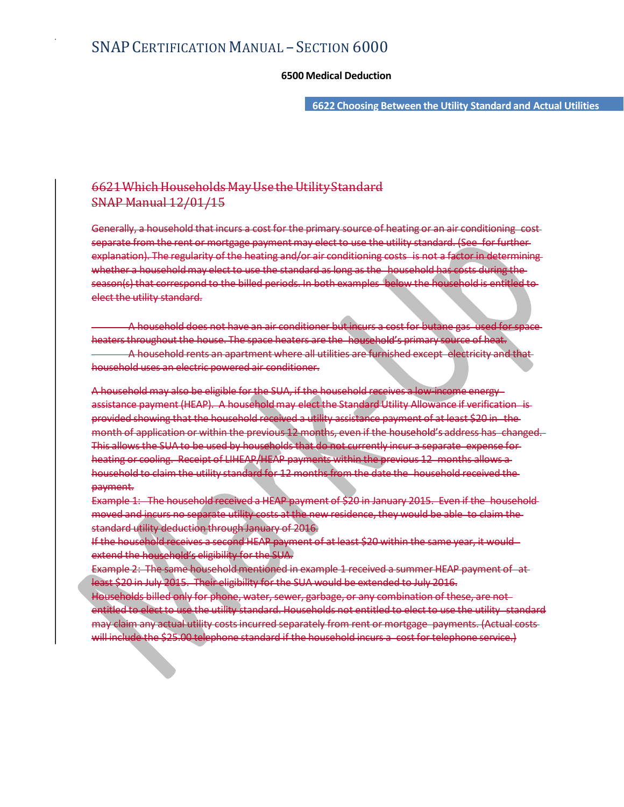- SECTION 6000<br>6500 Medical Deduction<br>6622 Choosing Between the Utility Standard and Actual Utilities 6622 Choosing Between the Utility Standard and Actual Utilities

## 6621 Which Households May Use the Utility Standard SNAP Manual 12/01/15

SNAP CERTIFICATION MANUAL – SECTION 6000<br>6500 Medical Deduction<br>6621 Which Households May Use the Utility-Standard<br>6621 Which Household that incurs a cost for the primary source of heating or an air conditioning -cost<br>6692 separate from the rent or mortgage payment may elect to use the utility standard. (See for further explanation). The regularity of the heating and/or air conditioning costs is not a factor in determining whether a household may elect to use the standard as long as the household has costs during the  $SNAP CERTIFICATION MANUAL - SECTION 6000  
\n6500 Medical Deduction  
\n6522 Choosing Between the Utility Standard and Actual Utility  
\nSNAP Manual 12/01/15  
\n6521 Which Households May Use the Utility Standard  
\n6524 Which knowledge May Use the Utility Standard  
\n6524 Which should that increase a cost for the primary source of heating or an air conditioning cost  
\n6524 for the tree of the other data and the data of a state in the other. A particular, the  
\n6524 of the data is the best and a state that of a state in the  
\n6524 of the data is the best and a state that of a state in the  
\n6524 of the data is the best that of the data is the possible to  
\n6524 of the data. Consequently, the use$ elect the utility standard. 6500 Medical Deduction<br>
6622 Choosing Between the Utility Standard and Actual Utilities<br>
6622 Which Households May Use the Utility Standard<br>
SNAP Manual  $12/01/15$ <br>
6622 Which Household that incurs a cost for the primary  $-6622$  Choosing Between the Utility Standard and Actual Utilities<br>  $-6624$  Which Households May Use the Utility Standard<br>  $-6824$  Which Household that incurs a cest for the primary source of heating or an air conditionin

heaters throughout the house. The space heaters are the household's primary source of heat. household uses an electric powered air conditioner.

A household may also be eligible for the SUA, if the household receives a low-income energy—<br>assistance payment (HEAP). A household may elect the Standard Utility Allowance if verification -is-6621 Which Households May Use the Utility Standard<br>
SNAP Manual 12/01/15<br>
Generally, a household that incurs a cost for the primary source of heating or an air conditioning cost-<br>
separate from the rent or mortgage payment provided showing that the household received a utility assistance payment of at least \$20 in the month of application or within the previous 12 months, even if the household's address has changed. our Control of the Superior Control of the Superior Superior Control of the SUA to be used by household that incurrently is a separate from the rent or mortgage payment may elect to use the utility standard. See for furthe heating or cooling. Receipt of LIHEAP/HEAP payments within the previous 12 months allows a household to claim the utility standard for 12 months from the date the household received the payment. A household dees not have an air conditioner but incurs a cost for butane gas weed for spices<br>
entertainment the house The space houser, are the household's primary source of heat<br>
A household cross-measurement where all u

Example 1: The household received a HEAP payment of \$20 in January 2015. Even if the household moved and incurs no separate utility costs at the new residence, they would be able to claim the standard utility deduction through January of 2016.

If the household receives a second HEAP payment of at least \$20 within the same year, it would extend the household's eligibility for the SUA.

least \$20 in July 2015. Their eligibility for the SUA would be extended to July 2016.

Households billed only for phone, water, sewer, garbage, or any combination of these, are not entitled to elect to use the utility standard. Households not entitled to elect to use the utility standard may claim any actual utility costs incurred separately from rent or mortgage payments. (Actual costs will include the \$25.00 telephone standard if the household incurs a cost for telephone service.)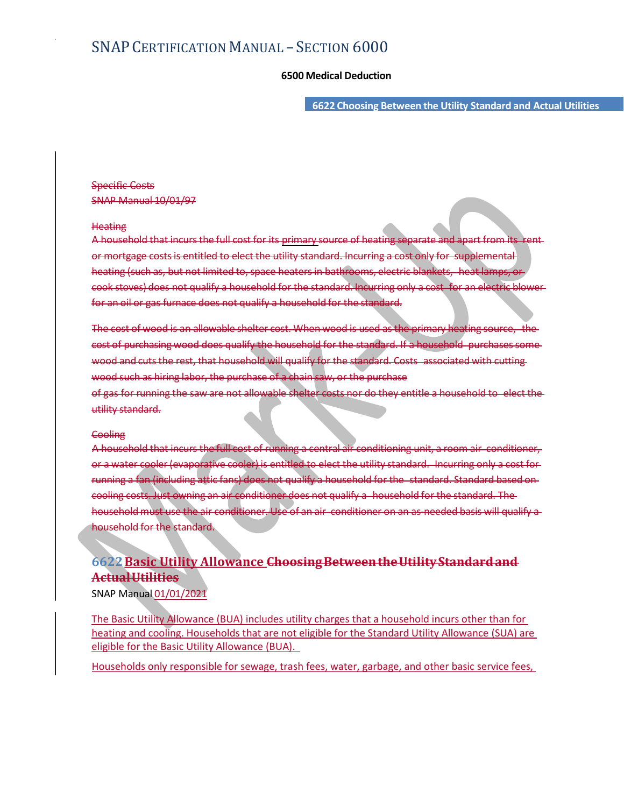- SECTION 6000<br>6500 Medical Deduction<br>6622 Choosing Between the Utility Standard and Actual Utilities 6622 Choosing Between the Utility Standard and Actual Utilities

## Specific Costs SNAP Manual 10/01/97

### **Heating**

SNAP CERTIFICATION MANUAL – SECTION 6000<br>6500 Medical Deduction<br>6622 Choosing Between the Utility Standard and Actual Utilities<br>Specific Costs<br>ARAP Manual 10/01/97<br>Heating<br>A household that incurs the full cost for its prim or mortgage costs is entitled to elect the utility standard. Incurring a cost only for supplemental  $SNAP CERTIFICATION MANUAL - SECTION 6000$ <br>  $6500$  Medical Deduction<br>  $\frac{1}{1000}$ <br>  $\frac{1}{1000}$ <br>  $\frac{1}{1000}$ <br>  $\frac{1}{1000}$ <br>  $\frac{1}{1000}$ <br>  $\frac{1}{1000}$ <br>  $\frac{1}{1000}$ <br>  $\frac{1}{1000}$ <br>  $\frac{1}{1000}$ <br>  $\frac{1}{1000}$ <br>  $\frac{1}{1000}$ <br>  $\frac{1}{1000}$ <br>  $\frac{1}{1$ SNAP CERTIFICATION MANUAL – SECTION 6000<br>6500 Medical Deduction<br>6622 Choosing Between the Utility Standard and Actual Utilities<br>SNAP Manual 10/01/97<br>Heating<br>A household that incurs the full cost for its griman-source of he for an oil or gas furnace does not qualify a household for the standard. 6500 Medical Deduction<br>
6622 Choosing Between the Utility Standard and Actual Utilities<br>
SPecific Costs<br>
SNAP Manual 10/01/97<br>
Heating<br>
A hoosehold that incurs the full cost for its primary source of heating separate and s Specific Costs<br>Specific Costs<br>Hosting<br>Alexandra 10/01/92<br>A household that incurs the full cost for its <u>primany s</u>ource of heating separate and apart from its rent<br>or mortgage costs is entitled to elect the utility standar Specific Costs<br>
SNAP Manual 10/01/97<br>
Heating<br>
A household that incurs the full cost for its <u>primary</u> source of heating separate and apart from its tent<br>
or mortgage costs is entitled to elect the utility standard -incurr

wood and cuts the rest, that household will qualify for the standard. Costs associated with cutting wood such as hiring labor, the purchase of a chain saw, or the purchase

utility standard.

### **Cooling**

A household that incurs the full cost of running a central air conditioning unit, a room air conditioner, Heating<br>
A household that incurs the full cost for its <u>primary</u> source of heating separate and apart from its tent<br>
or mortgage costs is entitled to elect the utility standard. Incurring only a cost for a suitaplemental<br> Heating<br>A household that incurs the full cost for its griman-source of heating separate and apart from its tent<br>or mortgage costs is entitled to elect the utility standard. Incurring a cost only for supplemental<br>heating (s ling costs. Just owning an air conditioner does not qualify a household must use the air conditioner. Use of an air conditioner on an as-needed basis will qualify a household for the standard. wood search running that so are not eligible conditions of disk content of they entitle a household to -elect the<br>closing.<br>Cooling.<br>A household that incurs the full cost of couning a central all conditioning unit, a reomai

# 6622 Basic Utility Allowance Choosing Between the Utility Standard and Actual Utilities

SNAP Manual 01/01/2021

The Basic Utility Allowance (BUA) includes utility charges that a household incurs other than for eligible for the Basic Utility Allowance (BUA).

Households only responsible for sewage, trash fees, water, garbage, and other basic service fees,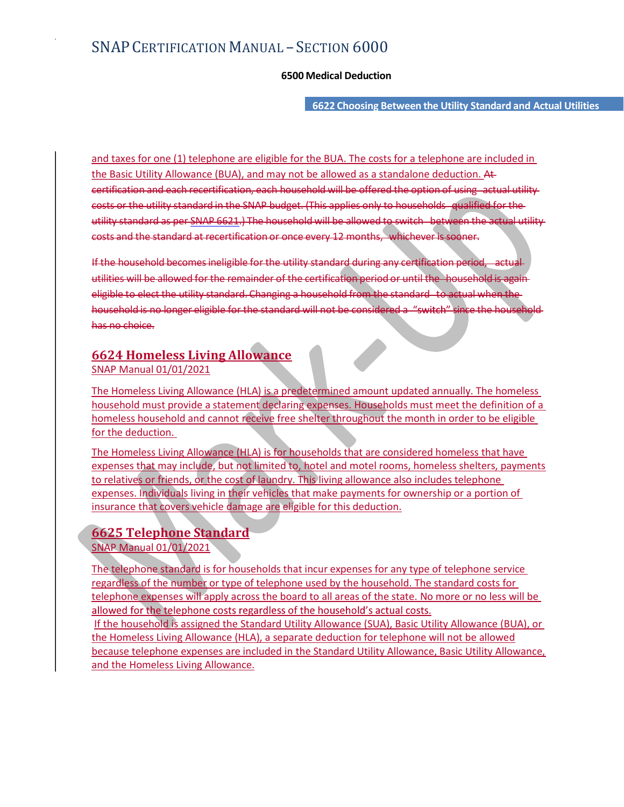- SECTION 6000<br>6500 Medical Deduction<br>6622 Choosing Between the Utility Standard and Actual Utilities 6622 Choosing Between the Utility Standard and Actual Utilities

and taxes for one (1) telephone are eligible for the BUA. The costs for a telephone are included in the Basic Utility Allowance (BUA), and may not be allowed as a standalone deduction. At SNAP CERTIFICATION MANUAL – SECTION  $6000$ <br>6500 Medical Deduction<br>and taxes for one (1) telephone are eligible for the BUA. The costs for a telephone are included in<br>the Basic Utility Allowance (BUA), and may not be allow costs or the utility standard in the SNAP budget. (This applies only to households qualified for the SNAP  $\text{CERTIFICATION MANUAL} - \text{SECTION 6000}$ <br>  $\text{6500 Medical Deduction}$ <br>  $\text{6522 choosing Between the Utility Standard and Actual Itilities}$ and taxes for one (1) telephone are eligible for the BUA. The costs for a telephone are included in<br>
the Basic Utility Allowance (BUA), and may not be allowe costs and the standard at recertification or once every 12 months, whichever is sooner.

If the household becomes ineligible for the utility standard during any certification period, actual utilities will be allowed for the remainder of the certification period or until the household is again eligible to elect the utility standard. Changing a household from the standard to actual when the household is no longer eligible for the standard will not be considered a "switch" since the householdhas no choice.

## 6624 Homeless Living Allowance SNAP Manual 01/01/2021

The Homeless Living Allowance (HLA) is a predetermined amount updated annually. The homeless household must provide a statement declaring expenses. Households must meet the definition of a homeless household and cannot receive free shelter throughout the month in order to be eligible for the deduction.

The Homeless Living Allowance (HLA) is for households that are considered homeless that have expenses that may include, but not limited to, hotel and motel rooms, homeless shelters, payments to relatives or friends, or the cost of laundry. This living allowance also includes telephone expenses. Individuals living in their vehicles that make payments for ownership or a portion of insurance that covers vehicle damage are eligible for this deduction.

## 6625 Telephone Standard

SNAP Manual 01/01/2021

The telephone standard is for households that incur expenses for any type of telephone service regardless of the number or type of telephone used by the household. The standard costs for telephone expenses will apply across the board to all areas of the state. No more or no less will be Shapir Manual 01/01/2021<br>
Inter Homeless Ixing Allowance (HLA) is a predetermined amount updated annually. The homeless<br>
nousehold must provide a statement declaring expenses, Households must meet the definition of a<br>
onme the Homeless Living Allowance (HLA), a separate deduction for telephone will not be allowed because telephone expenses are included in the Standard Utility Allowance, Basic Utility Allowance, and the Homeless Living Allowance.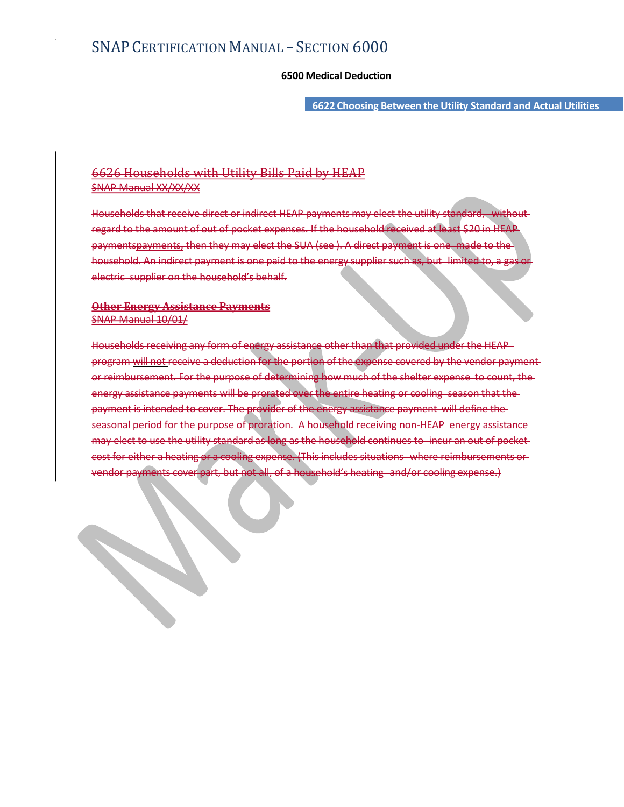- SECTION 6000<br>6500 Medical Deduction<br>6622 Choosing Between the Utility Standard and Actual Utilities 6622 Choosing Between the Utility Standard and Actual Utilities

## 6626 Households with Utility Bills Paid by HEAP SNAP Manual XX/XX/XX

Households that receive direct or indirect HEAP payments may elect the utility standard, without regard to the amount of out of pocket expenses. If the household received at least \$20 in HEAP paymentspayments, then they may elect the SUA (see ). A direct payment is one made to the SNAP CERTIFICATION MANUAL – SECTION 6000<br>6500 Medical Deduction<br>6626 Households with Utility Bills Paid by HEAP<br>6626 Households with Utility Bills Paid by HEAP<br>Households that receive direct or indirect HEAP payments may e electric supplier on the household's behalf.

## **Other Energy Assistance Payments** SNAP Manual 10/01/

Households receiving any form of energy assistance other than that provided under the HEAP program will not receive a deduction for the portion of the expense covered by the vendor payment **OC26** Households with Utility Bills Paid by HEAP<br>Households that receive direct or indirect HEAP payments may elect the utility standard, without<br>regard to the amount of our collect expenses. If the household excelled a f energy assistance payments will be prorated over the entire heating or cooling season that the payment is intended to cover. The provider of the energy assistance payment will define the seasonal period for the purpose of proration. A household receiving non-HEAP energy assistance may elect to use the utility standard as long as the household continues to incur an out of pocket Households that receive direct or indirect HEAP payments may elect the utility standard, without<br>regard to the amount of out of pocket expenses. If the bousehold received a fleast \$20 in HEAP<br>paymenting then they may elect vendor payments cover part, but not all, of a household's heating and/or cooling expense.)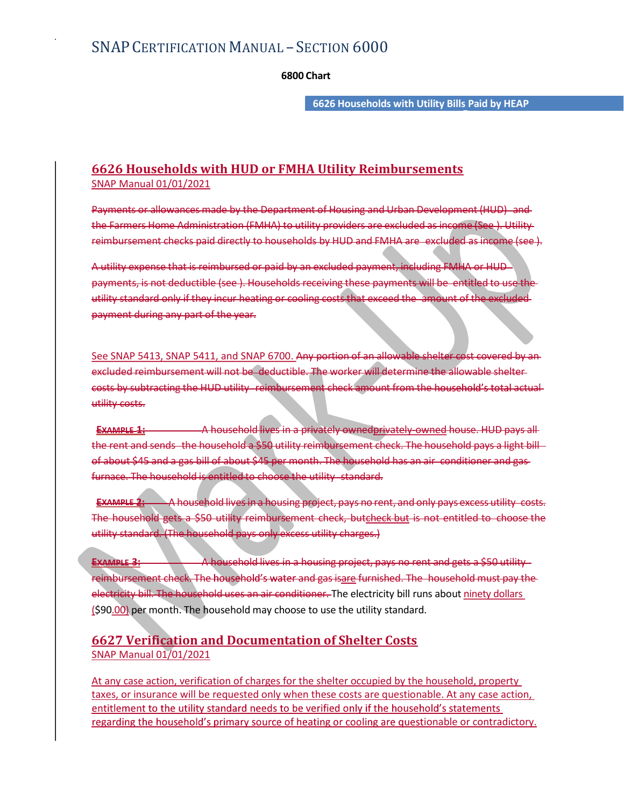- SECTION 6000<br>6800 Chart<br>6626 Households with Utility Bills Paid by HEAP 6626 Households with Utility Bills Paid by HEAP **Budget Contract to A** 

## 6626 Households with HUD or FMHA Utility Reimbursements SNAP Manual 01/01/2021

SNAP CERTIFICATION MANUAL – SECTION 6000<br>6800 Chart<br>6626 Households with HUD or FMHA Utility Reimbursements<br>95 MAP Manual 01/01/2021<br>Payments or allowances made by the Department of Housing and Urban Development (HUD) and<br> the Farmers Home Administration (FMHA) to utility providers are excluded as income (See ). Utility

SNAP CERTIFICATION MANUAL – SECTION 6000<br>6800 Chart<br>6626 Households with HUD or FMHA Utility Reimbursements<br>6726 Households with HUD or FMHA Utility Reimbursements<br>FNAP Manual 01/01/2021<br>Payments or allowances made by the A utility expense that is reimbursed or paid by an excluded payment, including FMHA or HUD SNAP CERTIFICATION MANUAL – SECTION 6000<br>
6600 Chart<br>
6626 Households with HUD or FMHA Utility Reimbursements<br>
SNAP Manual 01/01/2021<br>
Payments or allowances made by the Department of Housing and Urban Development (HUD) a utility standard only if they incur heating or cooling costs that exceed the amount of the excluded payment during any part of the year.  $6626$  Households with HUD or FMHA Utility Reimbursements<br>
SNAP Manual 01/01/2021<br>
Payments or allowances made by the Department of Housing and Urban Development (HUD) and<br>
the Farmers Home Administration (FMMA) to utilit

excluded reimbursement will not be deductible. The worker will determine the allowable shelter costs by subtracting the HUD utility reimbursement check amount from the household's total actual utility costs.

EXAMPLE 1: A household lives in a privately ownedprivately owned house. HUD pays all Payments or allowances made by the Department of Housing and Urban Development (HUD) and<br>the Farmers Home Administration (FMHA) to utility providers are excluded as income (see ). Utility-<br>reimbursement checke poid directl Payments or allowances made by the Department of Housing and Urban Development (HUD) and<br>the Farmers Home Administration (FMMA) to utility providers are oxcluded as income (See ). Utility<br>reimbursement checks paid directly furnace. The household is entitled to choose the utility standard. Example 1: A household lives in a household many project, pays no rent and only pays not an interest in a household many pays of the section of the control of the control of the control of the control of the control of the

The household gets a \$50 utility reimbursement check, butcheck but is not entitled to choose utility standard. (The household pays only excess utility charges.)

**EXAMPLE 3:** A household lives in a housing project, pays no rent and gets a \$50 utility reimbursement check. The household's water and gas isare furnished. The household must pay the electricity bill. The household uses an air conditioner. The electricity bill runs about ninety dollars (\$90.00) per month. The household may choose to use the utility standard.

## 6627 Verification and Documentation of Shelter Costs SNAP Manual 01/01/2021

At any case action, verification of charges for the shelter occupied by the household, property taxes, or insurance will be requested only when these costs are questionable. At any case action, entitlement to the utility standard needs to be verified only if the household's statements regarding the household's primary source of heating or cooling are questionable or contradictory.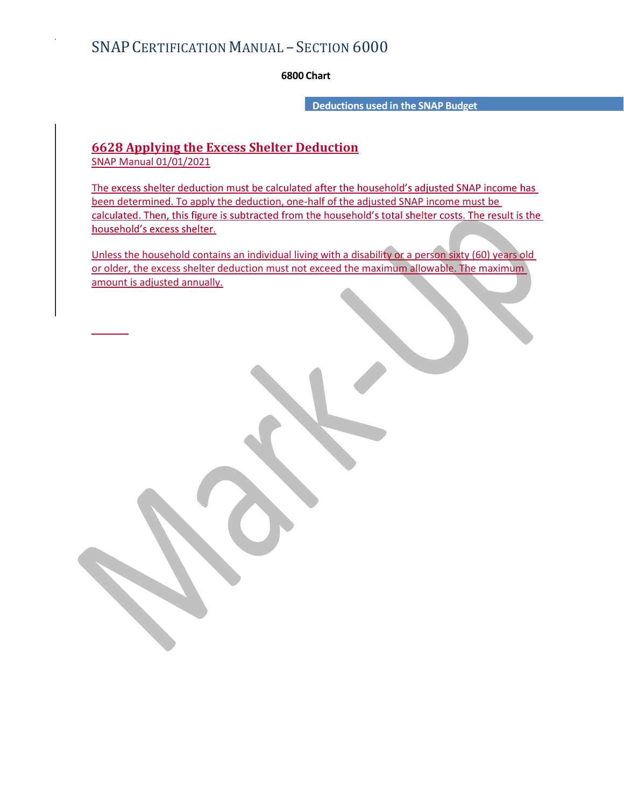- SECTION 6000<br>6800 Chart<br>Deductions used in the SNAP Budget<br>er Deduction Deductions used in the SNAP Budget

# 6628 Applying the Excess Shelter Deduction

SNAP Manual 01/01/2021

The excess shelter deduction must be calculated after the household's adjusted SNAP income has been determined. To apply the deduction, one-half of the adjusted SNAP income must be calculated. Then, this figure is subtracted from the household's total shelter costs. The result is the household's excess shelter.

Unless the household contains an individual living with a disability or a person sixty (60) years old or older, the excess shelter deduction must not exceed the maximum allowable. The maximum amount is adjusted annually.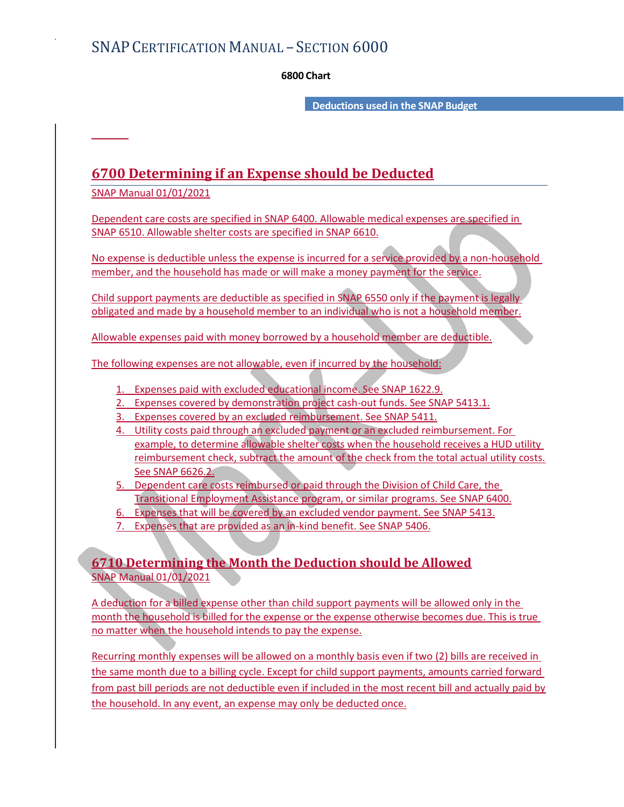- SECTION 6000<br>6800 Chart<br>Deductions used in the SNAP Budget Deductions used in the SNAP Budget

# 6700 Determining if an Expense should be Deducted

SNAP Manual 01/01/2021

Dependent care costs are specified in SNAP 6400. Allowable medical expenses are specified in SNAP 6510. Allowable shelter costs are specified in SNAP 6610.

No expense is deductible unless the expense is incurred for a service provided by a non-household member, and the household has made or will make a money payment for the service.

Child support payments are deductible as specified in SNAP 6550 only if the payment is legally obligated and made by a household member to an individual who is not a household member.

Allowable expenses paid with money borrowed by a household member are deductible.

The following expenses are not allowable, even if incurred by the household:

- 1. Expenses paid with excluded educational income. See SNAP 1622.9.
- 2. Expenses covered by demonstration project cash-out funds. See SNAP 5413.1.
- 3. Expenses covered by an excluded reimbursement. See SNAP 5411.
- 4. Utility costs paid through an excluded payment or an excluded reimbursement. For example, to determine allowable shelter costs when the household receives a HUD utility reimbursement check, subtract the amount of the check from the total actual utility costs. See SNAP 6626.2.
- 5. Dependent care costs reimbursed or paid through the Division of Child Care, the Transitional Employment Assistance program, or similar programs. See SNAP 6400.
- 6. Expenses that will be covered by an excluded vendor payment. See SNAP 5413.
- 7. Expenses that are provided as an in-kind benefit. See SNAP 5406.

## 6710 Determining the Month the Deduction should be Allowed SNAP Manual 01/01/2021

A deduction for a billed expense other than child support payments will be allowed only in the month the household is billed for the expense or the expense otherwise becomes due. This is true no matter when the household intends to pay the expense.

Recurring monthly expenses will be allowed on a monthly basis even if two (2) bills are received in the same month due to a billing cycle. Except for child support payments, amounts carried forward from past bill periods are not deductible even if included in the most recent bill and actually paid by the household. In any event, an expense may only be deducted once.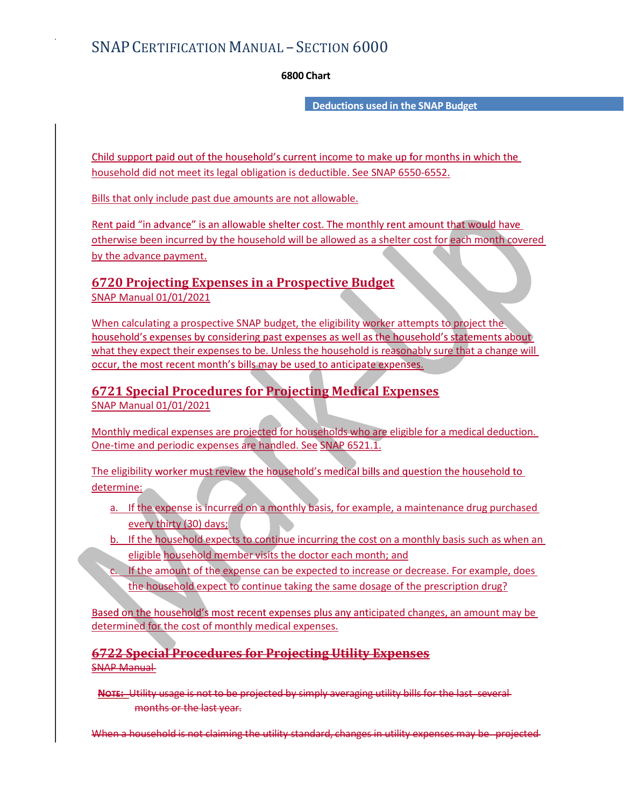- SECTION 6000<br>6800 Chart<br>Deductions used in the SNAP Budget Deductions used in the SNAP Budget

household did not meet its legal obligation is deductible. See SNAP 6550-6552.

Bills that only include past due amounts are not allowable.

Rent paid "in advance" is an allowable shelter cost. The monthly rent amount that would have otherwise been incurred by the household will be allowed as a shelter cost for each month covered by the advance payment.

# 6720 Projecting Expenses in a Prospective Budget

SNAP Manual 01/01/2021

When calculating a prospective SNAP budget, the eligibility worker attempts to project the household's expenses by considering past expenses as well as the household's statements about what they expect their expenses to be. Unless the household is reasonably sure that a change will occur, the most recent month's bills may be used to anticipate expenses.

## 6721 Special Procedures for Projecting Medical Expenses SNAP Manual 01/01/2021

Monthly medical expenses are projected for households who are eligible for a medical deduction. One-time and periodic expenses are handled. See SNAP 6521.1.

The eligibility worker must review the household's medical bills and question the household to determine:

- a. If the expense is incurred on a monthly basis, for example, a maintenance drug purchased every thirty (30) days;
- b. If the household expects to continue incurring the cost on a monthly basis such as when an eligible household member visits the doctor each month; and
- c. If the amount of the expense can be expected to increase or decrease. For example, does the household expect to continue taking the same dosage of the prescription drug?

Based on the household's most recent expenses plus any anticipated changes, an amount may be determined for the cost of monthly medical expenses.

6722 Special Procedures for Projecting Utility Expenses SNAP Manual

NOTE: Utility usage is not to be projected by simply averaging utility bills for the last several months or the last year.

When a household is not claiming the utility standard, changes in utility expenses may be projected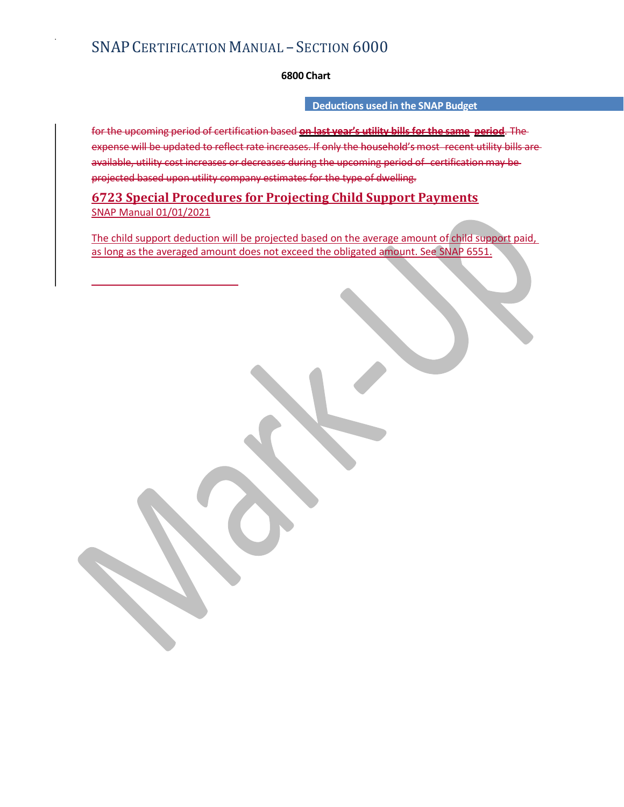## Deductions used in the SNAP Budget

- SECTION 6000<br>6800 Chart<br>Deductions used in the SNAP Budget<br>sed on last year's utility bills for the same period. The<br>reases. If only the household's most-recent utility bills are-FORTIFICATION MANUAL – SECTION 6000<br>
6800 Chart<br>
Deductions used in the SNAP Budget<br>
for the upcoming period of certification based on last year's utility bills for the same period. The<br>
expense will be updated to reflect expense will be updated to reflect rate increases on last year's utility bills for the snape period. The expense will be updated to reflect rate increases. If only the household's most recent utility bills are expense will SNAP CERTIFICATION MANUAL – SECTION  $6000$ <br>  $\,$  6800 Chart<br>
Deductions used in the SNAP Budget<br>
for the upcoming period of certification based on last year's utility bills for the same period. The<br>
expense will be update projected based upon utility company estimates for the type of dwelling.

## 6723 Special Procedures for Projecting Child Support Payments SNAP Manual 01/01/2021

The child support deduction will be projected based on the average amount of child support paid, as long as the averaged amount does not exceed the obligated amount. See SNAP 6551.